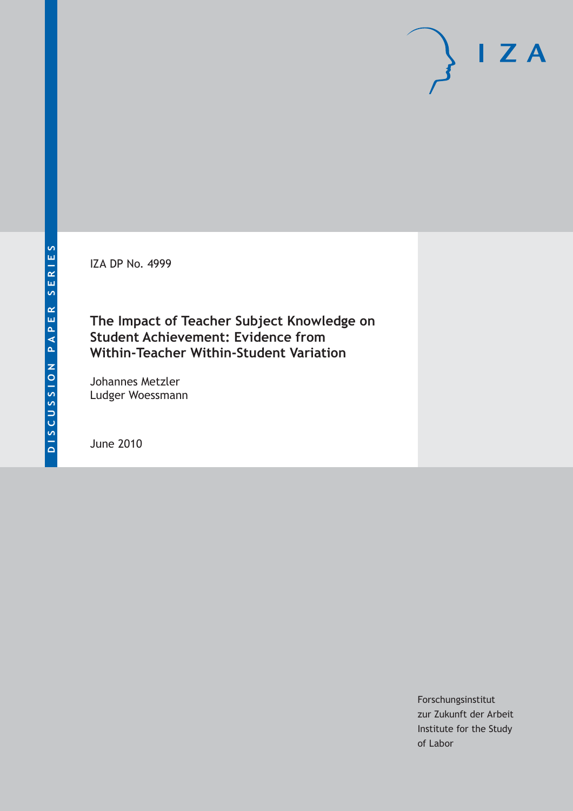IZA DP No. 4999

# **The Impact of Teacher Subject Knowledge on Student Achievement: Evidence from Within-Teacher Within-Student Variation**

Johannes Metzler Ludger Woessmann

June 2010

Forschungsinstitut zur Zukunft der Arbeit Institute for the Study of Labor

 $I Z A$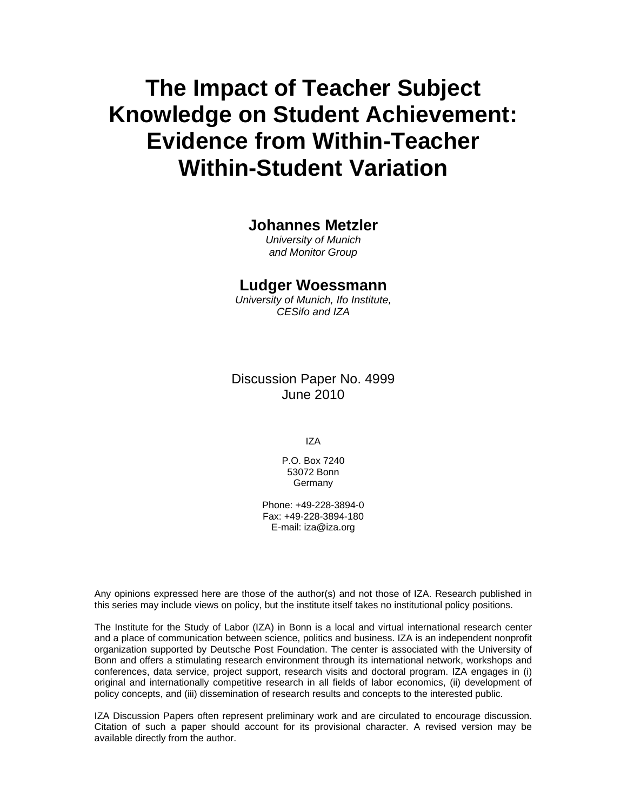# **The Impact of Teacher Subject Knowledge on Student Achievement: Evidence from Within-Teacher Within-Student Variation**

# **Johannes Metzler**

*University of Munich and Monitor Group* 

# **Ludger Woessmann**

*University of Munich, Ifo Institute, CESifo and IZA* 

Discussion Paper No. 4999 June 2010

IZA

P.O. Box 7240 53072 Bonn Germany

Phone: +49-228-3894-0 Fax: +49-228-3894-180 E-mail: iza@iza.org

Any opinions expressed here are those of the author(s) and not those of IZA. Research published in this series may include views on policy, but the institute itself takes no institutional policy positions.

The Institute for the Study of Labor (IZA) in Bonn is a local and virtual international research center and a place of communication between science, politics and business. IZA is an independent nonprofit organization supported by Deutsche Post Foundation. The center is associated with the University of Bonn and offers a stimulating research environment through its international network, workshops and conferences, data service, project support, research visits and doctoral program. IZA engages in (i) original and internationally competitive research in all fields of labor economics, (ii) development of policy concepts, and (iii) dissemination of research results and concepts to the interested public.

IZA Discussion Papers often represent preliminary work and are circulated to encourage discussion. Citation of such a paper should account for its provisional character. A revised version may be available directly from the author.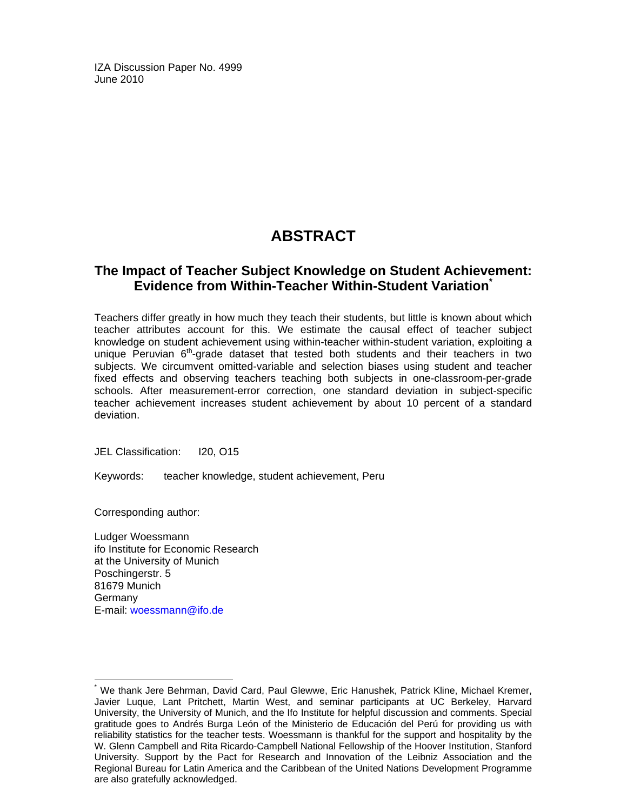IZA Discussion Paper No. 4999 June 2010

# **ABSTRACT**

# **The Impact of Teacher Subject Knowledge on Student Achievement: Evidence from Within-Teacher Within-Student Variation\***

Teachers differ greatly in how much they teach their students, but little is known about which teacher attributes account for this. We estimate the causal effect of teacher subject knowledge on student achievement using within-teacher within-student variation, exploiting a unique Peruvian  $6<sup>th</sup>$ -grade dataset that tested both students and their teachers in two subjects. We circumvent omitted-variable and selection biases using student and teacher fixed effects and observing teachers teaching both subjects in one-classroom-per-grade schools. After measurement-error correction, one standard deviation in subject-specific teacher achievement increases student achievement by about 10 percent of a standard deviation.

JEL Classification: I20, O15

Keywords: teacher knowledge, student achievement, Peru

Corresponding author:

-

Ludger Woessmann ifo Institute for Economic Research at the University of Munich Poschingerstr. 5 81679 Munich **Germany** E-mail: woessmann@ifo.de

<sup>\*</sup> We thank Jere Behrman, David Card, Paul Glewwe, Eric Hanushek, Patrick Kline, Michael Kremer, Javier Luque, Lant Pritchett, Martin West, and seminar participants at UC Berkeley, Harvard University, the University of Munich, and the Ifo Institute for helpful discussion and comments. Special gratitude goes to Andrés Burga León of the Ministerio de Educación del Perú for providing us with reliability statistics for the teacher tests. Woessmann is thankful for the support and hospitality by the W. Glenn Campbell and Rita Ricardo-Campbell National Fellowship of the Hoover Institution, Stanford University. Support by the Pact for Research and Innovation of the Leibniz Association and the Regional Bureau for Latin America and the Caribbean of the United Nations Development Programme are also gratefully acknowledged.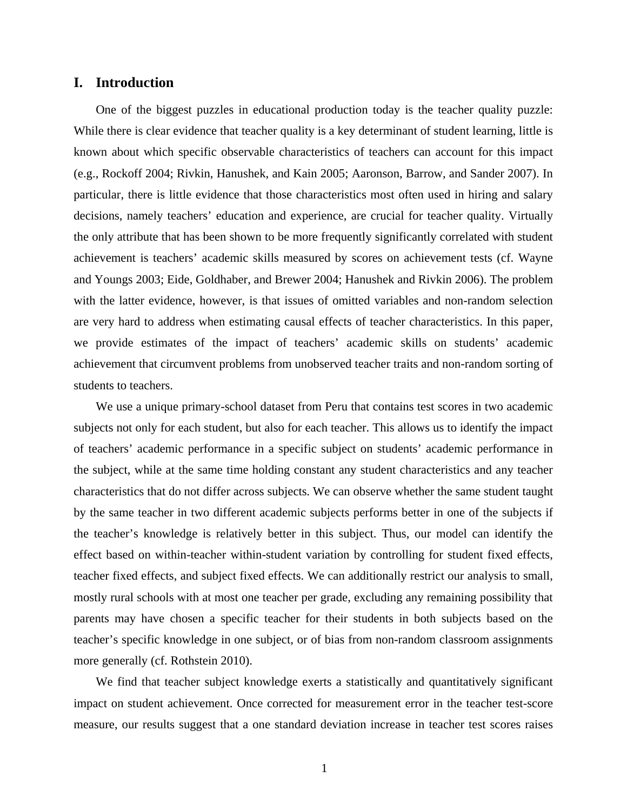## **I. Introduction**

One of the biggest puzzles in educational production today is the teacher quality puzzle: While there is clear evidence that teacher quality is a key determinant of student learning, little is known about which specific observable characteristics of teachers can account for this impact (e.g., Rockoff 2004; Rivkin, Hanushek, and Kain 2005; Aaronson, Barrow, and Sander 2007). In particular, there is little evidence that those characteristics most often used in hiring and salary decisions, namely teachers' education and experience, are crucial for teacher quality. Virtually the only attribute that has been shown to be more frequently significantly correlated with student achievement is teachers' academic skills measured by scores on achievement tests (cf. Wayne and Youngs 2003; Eide, Goldhaber, and Brewer 2004; Hanushek and Rivkin 2006). The problem with the latter evidence, however, is that issues of omitted variables and non-random selection are very hard to address when estimating causal effects of teacher characteristics. In this paper, we provide estimates of the impact of teachers' academic skills on students' academic achievement that circumvent problems from unobserved teacher traits and non-random sorting of students to teachers.

We use a unique primary-school dataset from Peru that contains test scores in two academic subjects not only for each student, but also for each teacher. This allows us to identify the impact of teachers' academic performance in a specific subject on students' academic performance in the subject, while at the same time holding constant any student characteristics and any teacher characteristics that do not differ across subjects. We can observe whether the same student taught by the same teacher in two different academic subjects performs better in one of the subjects if the teacher's knowledge is relatively better in this subject. Thus, our model can identify the effect based on within-teacher within-student variation by controlling for student fixed effects, teacher fixed effects, and subject fixed effects. We can additionally restrict our analysis to small, mostly rural schools with at most one teacher per grade, excluding any remaining possibility that parents may have chosen a specific teacher for their students in both subjects based on the teacher's specific knowledge in one subject, or of bias from non-random classroom assignments more generally (cf. Rothstein 2010).

We find that teacher subject knowledge exerts a statistically and quantitatively significant impact on student achievement. Once corrected for measurement error in the teacher test-score measure, our results suggest that a one standard deviation increase in teacher test scores raises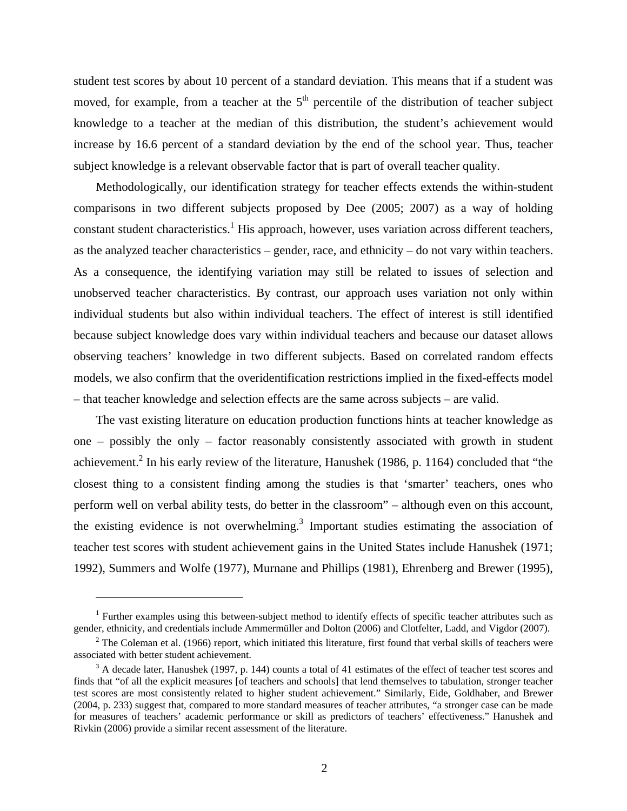student test scores by about 10 percent of a standard deviation. This means that if a student was moved, for example, from a teacher at the  $5<sup>th</sup>$  percentile of the distribution of teacher subject knowledge to a teacher at the median of this distribution, the student's achievement would increase by 16.6 percent of a standard deviation by the end of the school year. Thus, teacher subject knowledge is a relevant observable factor that is part of overall teacher quality.

Methodologically, our identification strategy for teacher effects extends the within-student comparisons in two different subjects proposed by Dee (2005; 2007) as a way of holding constant student characteristics.<sup>1</sup> His approach, however, uses variation across different teachers, as the analyzed teacher characteristics – gender, race, and ethnicity – do not vary within teachers. As a consequence, the identifying variation may still be related to issues of selection and unobserved teacher characteristics. By contrast, our approach uses variation not only within individual students but also within individual teachers. The effect of interest is still identified because subject knowledge does vary within individual teachers and because our dataset allows observing teachers' knowledge in two different subjects. Based on correlated random effects models, we also confirm that the overidentification restrictions implied in the fixed-effects model – that teacher knowledge and selection effects are the same across subjects – are valid.

The vast existing literature on education production functions hints at teacher knowledge as one – possibly the only – factor reasonably consistently associated with growth in student achievement.<sup>2</sup> In his early review of the literature, Hanushek (1986, p. 1164) concluded that "the closest thing to a consistent finding among the studies is that 'smarter' teachers, ones who perform well on verbal ability tests, do better in the classroom" – although even on this account, the existing evidence is not overwhelming.<sup>3</sup> Important studies estimating the association of teacher test scores with student achievement gains in the United States include Hanushek (1971; 1992), Summers and Wolfe (1977), Murnane and Phillips (1981), Ehrenberg and Brewer (1995),

<sup>&</sup>lt;sup>1</sup> Further examples using this between-subject method to identify effects of specific teacher attributes such as gender, ethnicity, and credentials include Ammermüller and Dolton (2006) and Clotfelter, Ladd, and Vigdor (2007). 2

 $2$  The Coleman et al. (1966) report, which initiated this literature, first found that verbal skills of teachers were associated with better student achievement.

 $3$  A decade later, Hanushek (1997, p. 144) counts a total of 41 estimates of the effect of teacher test scores and finds that "of all the explicit measures [of teachers and schools] that lend themselves to tabulation, stronger teacher test scores are most consistently related to higher student achievement." Similarly, Eide, Goldhaber, and Brewer (2004, p. 233) suggest that, compared to more standard measures of teacher attributes, "a stronger case can be made for measures of teachers' academic performance or skill as predictors of teachers' effectiveness." Hanushek and Rivkin (2006) provide a similar recent assessment of the literature.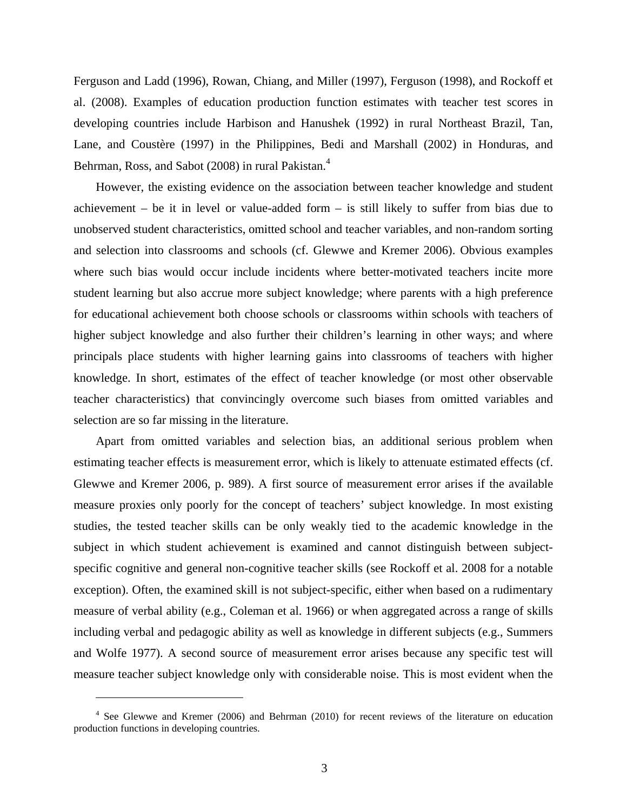Ferguson and Ladd (1996), Rowan, Chiang, and Miller (1997), Ferguson (1998), and Rockoff et al. (2008). Examples of education production function estimates with teacher test scores in developing countries include Harbison and Hanushek (1992) in rural Northeast Brazil, Tan, Lane, and Coustère (1997) in the Philippines, Bedi and Marshall (2002) in Honduras, and Behrman, Ross, and Sabot (2008) in rural Pakistan.<sup>4</sup>

However, the existing evidence on the association between teacher knowledge and student achievement – be it in level or value-added form – is still likely to suffer from bias due to unobserved student characteristics, omitted school and teacher variables, and non-random sorting and selection into classrooms and schools (cf. Glewwe and Kremer 2006). Obvious examples where such bias would occur include incidents where better-motivated teachers incite more student learning but also accrue more subject knowledge; where parents with a high preference for educational achievement both choose schools or classrooms within schools with teachers of higher subject knowledge and also further their children's learning in other ways; and where principals place students with higher learning gains into classrooms of teachers with higher knowledge. In short, estimates of the effect of teacher knowledge (or most other observable teacher characteristics) that convincingly overcome such biases from omitted variables and selection are so far missing in the literature.

Apart from omitted variables and selection bias, an additional serious problem when estimating teacher effects is measurement error, which is likely to attenuate estimated effects (cf. Glewwe and Kremer 2006, p. 989). A first source of measurement error arises if the available measure proxies only poorly for the concept of teachers' subject knowledge. In most existing studies, the tested teacher skills can be only weakly tied to the academic knowledge in the subject in which student achievement is examined and cannot distinguish between subjectspecific cognitive and general non-cognitive teacher skills (see Rockoff et al. 2008 for a notable exception). Often, the examined skill is not subject-specific, either when based on a rudimentary measure of verbal ability (e.g., Coleman et al. 1966) or when aggregated across a range of skills including verbal and pedagogic ability as well as knowledge in different subjects (e.g., Summers and Wolfe 1977). A second source of measurement error arises because any specific test will measure teacher subject knowledge only with considerable noise. This is most evident when the

<sup>&</sup>lt;sup>4</sup> See Glewwe and Kremer (2006) and Behrman (2010) for recent reviews of the literature on education production functions in developing countries.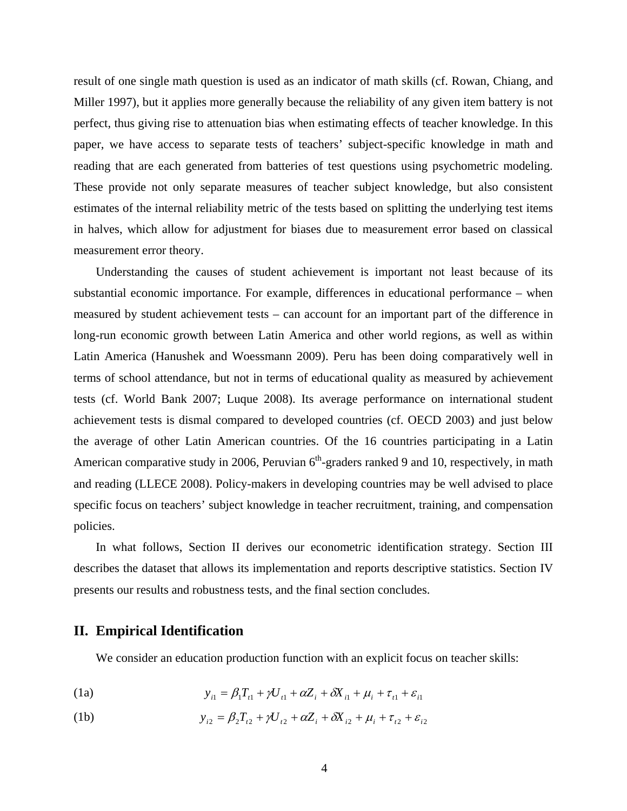result of one single math question is used as an indicator of math skills (cf. Rowan, Chiang, and Miller 1997), but it applies more generally because the reliability of any given item battery is not perfect, thus giving rise to attenuation bias when estimating effects of teacher knowledge. In this paper, we have access to separate tests of teachers' subject-specific knowledge in math and reading that are each generated from batteries of test questions using psychometric modeling. These provide not only separate measures of teacher subject knowledge, but also consistent estimates of the internal reliability metric of the tests based on splitting the underlying test items in halves, which allow for adjustment for biases due to measurement error based on classical measurement error theory.

Understanding the causes of student achievement is important not least because of its substantial economic importance. For example, differences in educational performance – when measured by student achievement tests – can account for an important part of the difference in long-run economic growth between Latin America and other world regions, as well as within Latin America (Hanushek and Woessmann 2009). Peru has been doing comparatively well in terms of school attendance, but not in terms of educational quality as measured by achievement tests (cf. World Bank 2007; Luque 2008). Its average performance on international student achievement tests is dismal compared to developed countries (cf. OECD 2003) and just below the average of other Latin American countries. Of the 16 countries participating in a Latin American comparative study in 2006, Peruvian  $6<sup>th</sup>$ -graders ranked 9 and 10, respectively, in math and reading (LLECE 2008). Policy-makers in developing countries may be well advised to place specific focus on teachers' subject knowledge in teacher recruitment, training, and compensation policies.

In what follows, Section II derives our econometric identification strategy. Section III describes the dataset that allows its implementation and reports descriptive statistics. Section IV presents our results and robustness tests, and the final section concludes.

### **II. Empirical Identification**

We consider an education production function with an explicit focus on teacher skills:

(1a) 
$$
y_{i1} = \beta_1 T_{i1} + \gamma U_{i1} + \alpha Z_i + \delta X_{i1} + \mu_i + \tau_{i1} + \varepsilon_{i1}
$$

(1b) 
$$
y_{i2} = \beta_2 T_{i2} + \gamma U_{i2} + \alpha Z_i + \delta X_{i2} + \mu_i + \tau_{i2} + \varepsilon_{i2}
$$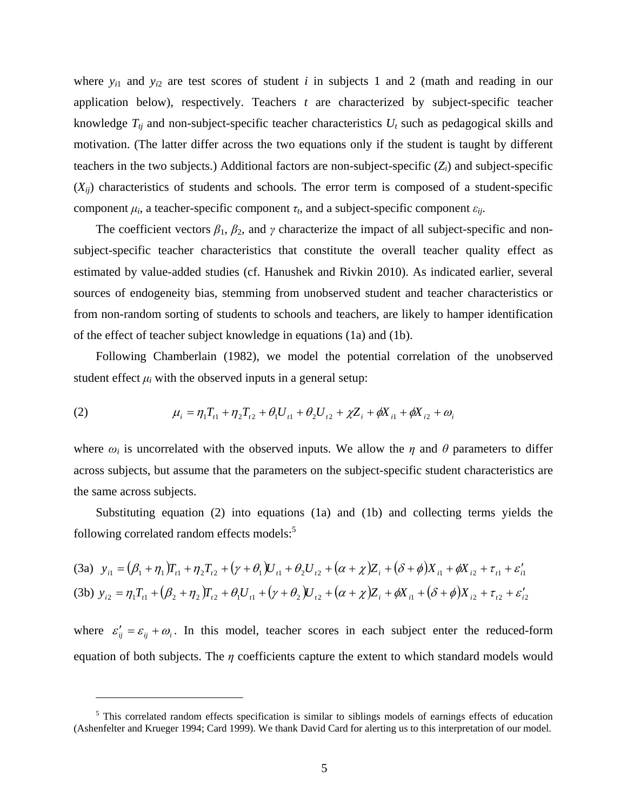where  $y_{i1}$  and  $y_{i2}$  are test scores of student *i* in subjects 1 and 2 (math and reading in our application below), respectively. Teachers *t* are characterized by subject-specific teacher knowledge  $T_{ti}$  and non-subject-specific teacher characteristics  $U_t$  such as pedagogical skills and motivation. (The latter differ across the two equations only if the student is taught by different teachers in the two subjects.) Additional factors are non-subject-specific (*Zi*) and subject-specific  $(X_{ii})$  characteristics of students and schools. The error term is composed of a student-specific component  $\mu_i$ , a teacher-specific component  $\tau_i$ , and a subject-specific component  $\varepsilon_{ii}$ .

The coefficient vectors  $\beta_1$ ,  $\beta_2$ , and  $\gamma$  characterize the impact of all subject-specific and nonsubject-specific teacher characteristics that constitute the overall teacher quality effect as estimated by value-added studies (cf. Hanushek and Rivkin 2010). As indicated earlier, several sources of endogeneity bias, stemming from unobserved student and teacher characteristics or from non-random sorting of students to schools and teachers, are likely to hamper identification of the effect of teacher subject knowledge in equations (1a) and (1b).

Following Chamberlain (1982), we model the potential correlation of the unobserved student effect  $\mu_i$  with the observed inputs in a general setup:

(2) 
$$
\mu_i = \eta_1 T_{t1} + \eta_2 T_{t2} + \theta_1 U_{t1} + \theta_2 U_{t2} + \chi Z_i + \phi X_{i1} + \phi X_{i2} + \omega_i
$$

where  $\omega_i$  is uncorrelated with the observed inputs. We allow the  $\eta$  and  $\theta$  parameters to differ across subjects, but assume that the parameters on the subject-specific student characteristics are the same across subjects.

Substituting equation (2) into equations (1a) and (1b) and collecting terms yields the following correlated random effects models:<sup>5</sup>

(3a) 
$$
y_{i1} = (\beta_1 + \eta_1)T_{i1} + \eta_2 T_{i2} + (\gamma + \theta_1)U_{i1} + \theta_2 U_{i2} + (\alpha + \chi)Z_i + (\delta + \phi)X_{i1} + \phi X_{i2} + \tau_{i1} + \varepsilon'_{i1}
$$
  
(3b)  $y_{i2} = \eta_1 T_{i1} + (\beta_2 + \eta_2)T_{i2} + \theta_1 U_{i1} + (\gamma + \theta_2)U_{i2} + (\alpha + \chi)Z_i + \phi X_{i1} + (\delta + \phi)X_{i2} + \tau_{i2} + \varepsilon'_{i2}$ 

where  $\varepsilon'_{ij} = \varepsilon_{ij} + \omega_i$ . In this model, teacher scores in each subject enter the reduced-form equation of both subjects. The *η* coefficients capture the extent to which standard models would

<sup>&</sup>lt;sup>5</sup> This correlated random effects specification is similar to siblings models of earnings effects of education (Ashenfelter and Krueger 1994; Card 1999). We thank David Card for alerting us to this interpretation of our model.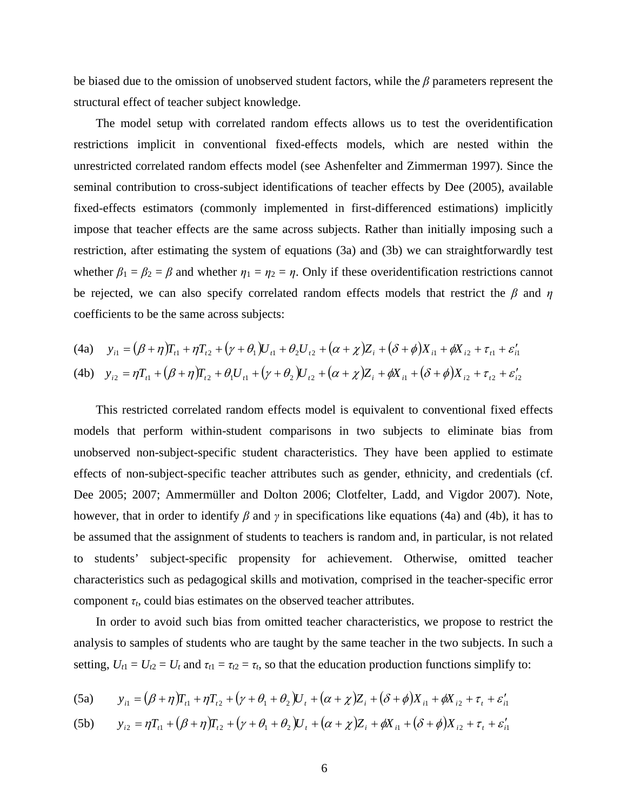be biased due to the omission of unobserved student factors, while the *β* parameters represent the structural effect of teacher subject knowledge.

The model setup with correlated random effects allows us to test the overidentification restrictions implicit in conventional fixed-effects models, which are nested within the unrestricted correlated random effects model (see Ashenfelter and Zimmerman 1997). Since the seminal contribution to cross-subject identifications of teacher effects by Dee (2005), available fixed-effects estimators (commonly implemented in first-differenced estimations) implicitly impose that teacher effects are the same across subjects. Rather than initially imposing such a restriction, after estimating the system of equations (3a) and (3b) we can straightforwardly test whether  $\beta_1 = \beta_2 = \beta$  and whether  $\eta_1 = \eta_2 = \eta$ . Only if these overidentification restrictions cannot be rejected, we can also specify correlated random effects models that restrict the *β* and *η* coefficients to be the same across subjects:

(4a) 
$$
y_{i1} = (\beta + \eta)T_{i1} + \eta T_{i2} + (\gamma + \theta_1)U_{i1} + \theta_2 U_{i2} + (\alpha + \chi)Z_i + (\delta + \phi)X_{i1} + \phi X_{i2} + \tau_{i1} + \varepsilon_{i1}'
$$
  
(4b) 
$$
y_{i2} = \eta T_{i1} + (\beta + \eta)T_{i2} + \theta_1 U_{i1} + (\gamma + \theta_2)U_{i2} + (\alpha + \chi)Z_i + \phi X_{i1} + (\delta + \phi)X_{i2} + \tau_{i2} + \varepsilon_{i2}'
$$

This restricted correlated random effects model is equivalent to conventional fixed effects models that perform within-student comparisons in two subjects to eliminate bias from unobserved non-subject-specific student characteristics. They have been applied to estimate effects of non-subject-specific teacher attributes such as gender, ethnicity, and credentials (cf. Dee 2005; 2007; Ammermüller and Dolton 2006; Clotfelter, Ladd, and Vigdor 2007). Note, however, that in order to identify *β* and *γ* in specifications like equations (4a) and (4b), it has to be assumed that the assignment of students to teachers is random and, in particular, is not related to students' subject-specific propensity for achievement. Otherwise, omitted teacher characteristics such as pedagogical skills and motivation, comprised in the teacher-specific error component  $\tau_t$ , could bias estimates on the observed teacher attributes.

In order to avoid such bias from omitted teacher characteristics, we propose to restrict the analysis to samples of students who are taught by the same teacher in the two subjects. In such a setting,  $U_{t1} = U_{t2} = U_t$  and  $\tau_{t1} = \tau_{t2} = \tau_t$ , so that the education production functions simplify to:

(5a) 
$$
y_{i1} = (\beta + \eta)T_{i1} + \eta T_{i2} + (\gamma + \theta_1 + \theta_2)U_t + (\alpha + \chi)Z_i + (\delta + \phi)X_{i1} + \phi X_{i2} + \tau_t + \varepsilon_{i1}
$$

(5b) 
$$
y_{i2} = \eta T_{i1} + (\beta + \eta) T_{i2} + (\gamma + \theta_1 + \theta_2) U_i + (\alpha + \chi) Z_i + \phi X_{i1} + (\delta + \phi) X_{i2} + \tau_i + \varepsilon_{i1}
$$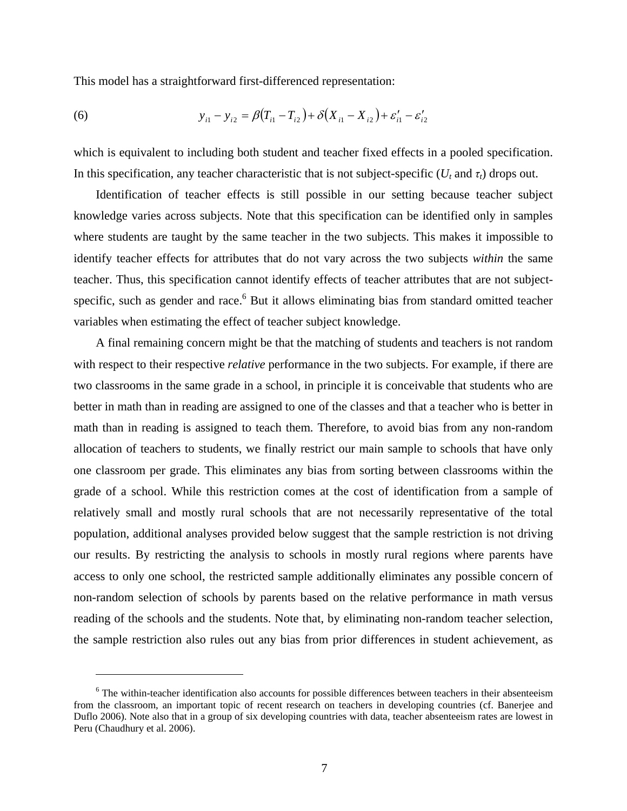This model has a straightforward first-differenced representation:

(6) 
$$
y_{i1} - y_{i2} = \beta (T_{i1} - T_{i2}) + \delta (X_{i1} - X_{i2}) + \varepsilon'_{i1} - \varepsilon'_{i2}
$$

which is equivalent to including both student and teacher fixed effects in a pooled specification. In this specification, any teacher characteristic that is not subject-specific ( $U_t$  and  $\tau_t$ ) drops out.

Identification of teacher effects is still possible in our setting because teacher subject knowledge varies across subjects. Note that this specification can be identified only in samples where students are taught by the same teacher in the two subjects. This makes it impossible to identify teacher effects for attributes that do not vary across the two subjects *within* the same teacher. Thus, this specification cannot identify effects of teacher attributes that are not subjectspecific, such as gender and race.<sup>6</sup> But it allows eliminating bias from standard omitted teacher variables when estimating the effect of teacher subject knowledge.

A final remaining concern might be that the matching of students and teachers is not random with respect to their respective *relative* performance in the two subjects. For example, if there are two classrooms in the same grade in a school, in principle it is conceivable that students who are better in math than in reading are assigned to one of the classes and that a teacher who is better in math than in reading is assigned to teach them. Therefore, to avoid bias from any non-random allocation of teachers to students, we finally restrict our main sample to schools that have only one classroom per grade. This eliminates any bias from sorting between classrooms within the grade of a school. While this restriction comes at the cost of identification from a sample of relatively small and mostly rural schools that are not necessarily representative of the total population, additional analyses provided below suggest that the sample restriction is not driving our results. By restricting the analysis to schools in mostly rural regions where parents have access to only one school, the restricted sample additionally eliminates any possible concern of non-random selection of schools by parents based on the relative performance in math versus reading of the schools and the students. Note that, by eliminating non-random teacher selection, the sample restriction also rules out any bias from prior differences in student achievement, as

<sup>&</sup>lt;sup>6</sup> The within-teacher identification also accounts for possible differences between teachers in their absenteeism from the classroom, an important topic of recent research on teachers in developing countries (cf. Banerjee and Duflo 2006). Note also that in a group of six developing countries with data, teacher absenteeism rates are lowest in Peru (Chaudhury et al. 2006).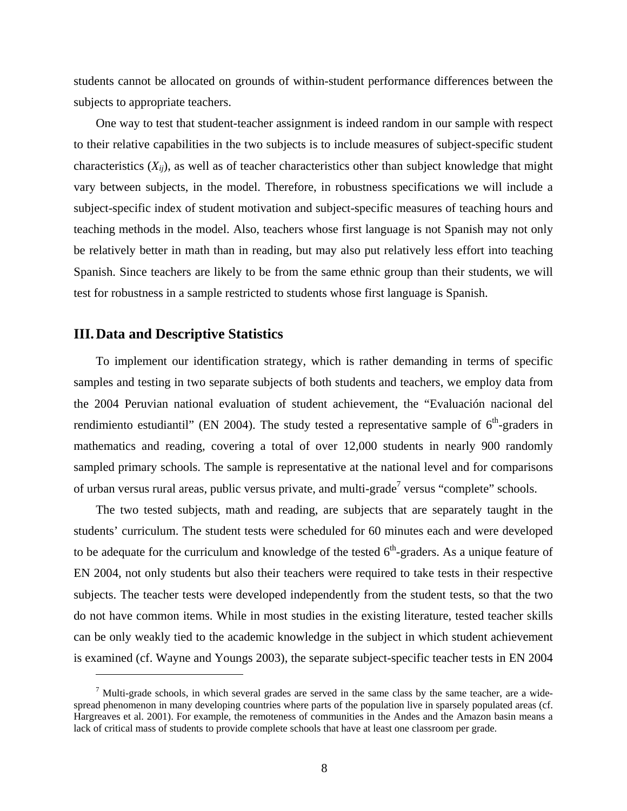students cannot be allocated on grounds of within-student performance differences between the subjects to appropriate teachers.

One way to test that student-teacher assignment is indeed random in our sample with respect to their relative capabilities in the two subjects is to include measures of subject-specific student characteristics  $(X_{ii})$ , as well as of teacher characteristics other than subject knowledge that might vary between subjects, in the model. Therefore, in robustness specifications we will include a subject-specific index of student motivation and subject-specific measures of teaching hours and teaching methods in the model. Also, teachers whose first language is not Spanish may not only be relatively better in math than in reading, but may also put relatively less effort into teaching Spanish. Since teachers are likely to be from the same ethnic group than their students, we will test for robustness in a sample restricted to students whose first language is Spanish.

#### **III. Data and Descriptive Statistics**

 $\overline{a}$ 

To implement our identification strategy, which is rather demanding in terms of specific samples and testing in two separate subjects of both students and teachers, we employ data from the 2004 Peruvian national evaluation of student achievement, the "Evaluación nacional del rendimiento estudiantil" (EN 2004). The study tested a representative sample of  $6<sup>th</sup>$ -graders in mathematics and reading, covering a total of over 12,000 students in nearly 900 randomly sampled primary schools. The sample is representative at the national level and for comparisons of urban versus rural areas, public versus private, and multi-grade<sup>7</sup> versus "complete" schools.

The two tested subjects, math and reading, are subjects that are separately taught in the students' curriculum. The student tests were scheduled for 60 minutes each and were developed to be adequate for the curriculum and knowledge of the tested  $6<sup>th</sup>$ -graders. As a unique feature of EN 2004, not only students but also their teachers were required to take tests in their respective subjects. The teacher tests were developed independently from the student tests, so that the two do not have common items. While in most studies in the existing literature, tested teacher skills can be only weakly tied to the academic knowledge in the subject in which student achievement is examined (cf. Wayne and Youngs 2003), the separate subject-specific teacher tests in EN 2004

 $<sup>7</sup>$  Multi-grade schools, in which several grades are served in the same class by the same teacher, are a wide-</sup> spread phenomenon in many developing countries where parts of the population live in sparsely populated areas (cf. Hargreaves et al. 2001). For example, the remoteness of communities in the Andes and the Amazon basin means a lack of critical mass of students to provide complete schools that have at least one classroom per grade.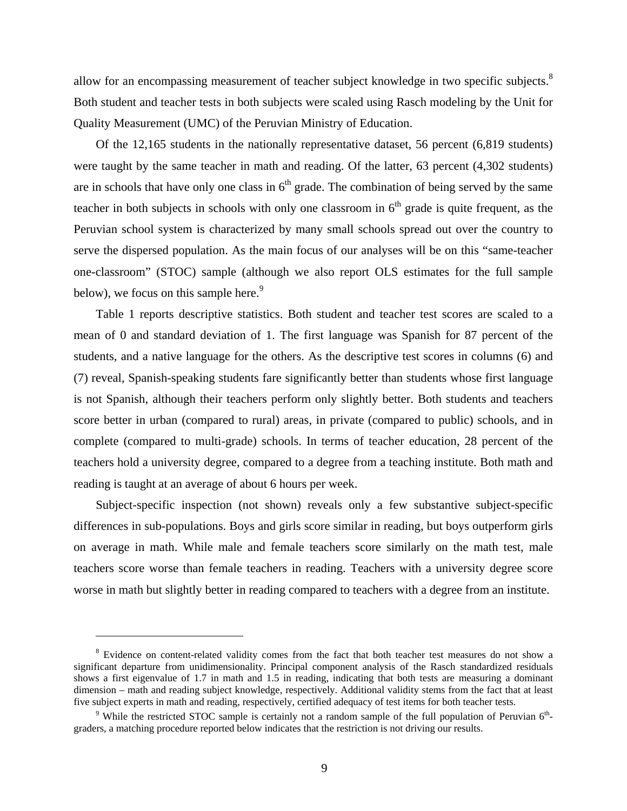allow for an encompassing measurement of teacher subject knowledge in two specific subjects.<sup>8</sup> Both student and teacher tests in both subjects were scaled using Rasch modeling by the Unit for Quality Measurement (UMC) of the Peruvian Ministry of Education.

Of the 12,165 students in the nationally representative dataset, 56 percent (6,819 students) were taught by the same teacher in math and reading. Of the latter, 63 percent (4,302 students) are in schools that have only one class in  $6<sup>th</sup>$  grade. The combination of being served by the same teacher in both subjects in schools with only one classroom in  $6<sup>th</sup>$  grade is quite frequent, as the Peruvian school system is characterized by many small schools spread out over the country to serve the dispersed population. As the main focus of our analyses will be on this "same-teacher one-classroom" (STOC) sample (although we also report OLS estimates for the full sample below), we focus on this sample here.<sup>9</sup>

Table 1 reports descriptive statistics. Both student and teacher test scores are scaled to a mean of 0 and standard deviation of 1. The first language was Spanish for 87 percent of the students, and a native language for the others. As the descriptive test scores in columns (6) and (7) reveal, Spanish-speaking students fare significantly better than students whose first language is not Spanish, although their teachers perform only slightly better. Both students and teachers score better in urban (compared to rural) areas, in private (compared to public) schools, and in complete (compared to multi-grade) schools. In terms of teacher education, 28 percent of the teachers hold a university degree, compared to a degree from a teaching institute. Both math and reading is taught at an average of about 6 hours per week.

Subject-specific inspection (not shown) reveals only a few substantive subject-specific differences in sub-populations. Boys and girls score similar in reading, but boys outperform girls on average in math. While male and female teachers score similarly on the math test, male teachers score worse than female teachers in reading. Teachers with a university degree score worse in math but slightly better in reading compared to teachers with a degree from an institute.

<sup>&</sup>lt;sup>8</sup> Evidence on content-related validity comes from the fact that both teacher test measures do not show a significant departure from unidimensionality. Principal component analysis of the Rasch standardized residuals shows a first eigenvalue of 1.7 in math and 1.5 in reading, indicating that both tests are measuring a dominant dimension – math and reading subject knowledge, respectively. Additional validity stems from the fact that at least five subject experts in math and reading, respectively, certified adequacy of test items for both teacher tests. 9

<sup>&</sup>lt;sup>9</sup> While the restricted STOC sample is certainly not a random sample of the full population of Peruvian  $6<sup>th</sup>$ graders, a matching procedure reported below indicates that the restriction is not driving our results.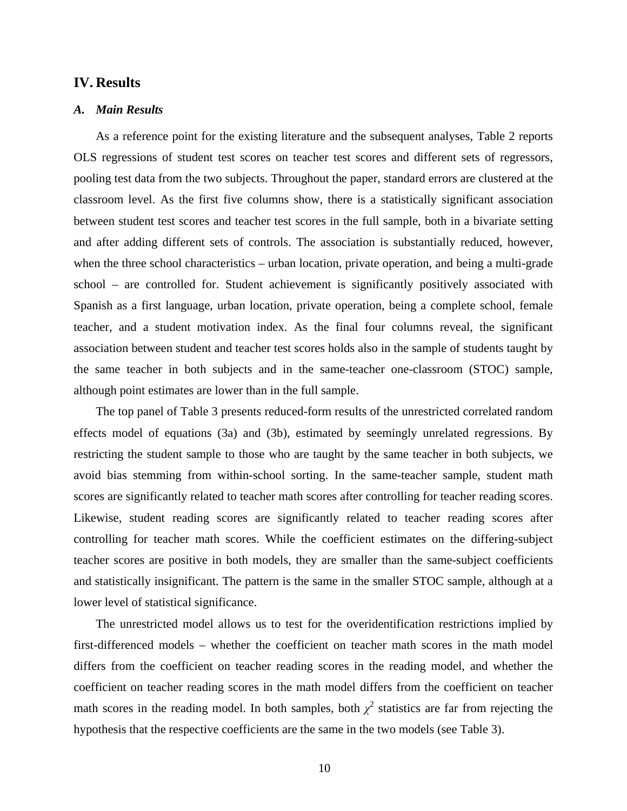#### **IV. Results**

#### *A. Main Results*

As a reference point for the existing literature and the subsequent analyses, Table 2 reports OLS regressions of student test scores on teacher test scores and different sets of regressors, pooling test data from the two subjects. Throughout the paper, standard errors are clustered at the classroom level. As the first five columns show, there is a statistically significant association between student test scores and teacher test scores in the full sample, both in a bivariate setting and after adding different sets of controls. The association is substantially reduced, however, when the three school characteristics – urban location, private operation, and being a multi-grade school – are controlled for. Student achievement is significantly positively associated with Spanish as a first language, urban location, private operation, being a complete school, female teacher, and a student motivation index. As the final four columns reveal, the significant association between student and teacher test scores holds also in the sample of students taught by the same teacher in both subjects and in the same-teacher one-classroom (STOC) sample, although point estimates are lower than in the full sample.

The top panel of Table 3 presents reduced-form results of the unrestricted correlated random effects model of equations (3a) and (3b), estimated by seemingly unrelated regressions. By restricting the student sample to those who are taught by the same teacher in both subjects, we avoid bias stemming from within-school sorting. In the same-teacher sample, student math scores are significantly related to teacher math scores after controlling for teacher reading scores. Likewise, student reading scores are significantly related to teacher reading scores after controlling for teacher math scores. While the coefficient estimates on the differing-subject teacher scores are positive in both models, they are smaller than the same-subject coefficients and statistically insignificant. The pattern is the same in the smaller STOC sample, although at a lower level of statistical significance.

The unrestricted model allows us to test for the overidentification restrictions implied by first-differenced models – whether the coefficient on teacher math scores in the math model differs from the coefficient on teacher reading scores in the reading model, and whether the coefficient on teacher reading scores in the math model differs from the coefficient on teacher math scores in the reading model. In both samples, both  $\chi^2$  statistics are far from rejecting the hypothesis that the respective coefficients are the same in the two models (see Table 3).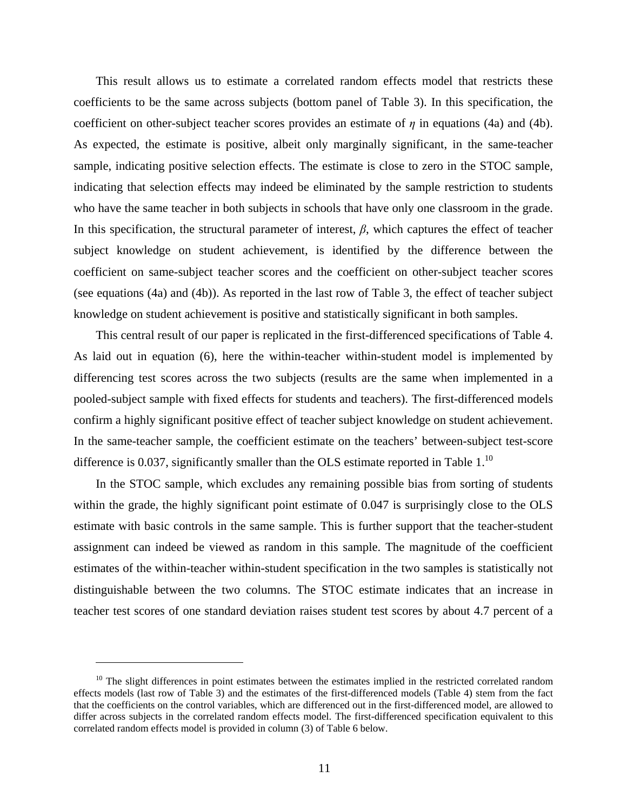This result allows us to estimate a correlated random effects model that restricts these coefficients to be the same across subjects (bottom panel of Table 3). In this specification, the coefficient on other-subject teacher scores provides an estimate of *η* in equations (4a) and (4b). As expected, the estimate is positive, albeit only marginally significant, in the same-teacher sample, indicating positive selection effects. The estimate is close to zero in the STOC sample, indicating that selection effects may indeed be eliminated by the sample restriction to students who have the same teacher in both subjects in schools that have only one classroom in the grade. In this specification, the structural parameter of interest,  $\beta$ , which captures the effect of teacher subject knowledge on student achievement, is identified by the difference between the coefficient on same-subject teacher scores and the coefficient on other-subject teacher scores (see equations (4a) and (4b)). As reported in the last row of Table 3, the effect of teacher subject knowledge on student achievement is positive and statistically significant in both samples.

This central result of our paper is replicated in the first-differenced specifications of Table 4. As laid out in equation (6), here the within-teacher within-student model is implemented by differencing test scores across the two subjects (results are the same when implemented in a pooled-subject sample with fixed effects for students and teachers). The first-differenced models confirm a highly significant positive effect of teacher subject knowledge on student achievement. In the same-teacher sample, the coefficient estimate on the teachers' between-subject test-score difference is 0.037, significantly smaller than the OLS estimate reported in Table  $1$ .<sup>10</sup>

In the STOC sample, which excludes any remaining possible bias from sorting of students within the grade, the highly significant point estimate of 0.047 is surprisingly close to the OLS estimate with basic controls in the same sample. This is further support that the teacher-student assignment can indeed be viewed as random in this sample. The magnitude of the coefficient estimates of the within-teacher within-student specification in the two samples is statistically not distinguishable between the two columns. The STOC estimate indicates that an increase in teacher test scores of one standard deviation raises student test scores by about 4.7 percent of a

 $10$  The slight differences in point estimates between the estimates implied in the restricted correlated random effects models (last row of Table 3) and the estimates of the first-differenced models (Table 4) stem from the fact that the coefficients on the control variables, which are differenced out in the first-differenced model, are allowed to differ across subjects in the correlated random effects model. The first-differenced specification equivalent to this correlated random effects model is provided in column (3) of Table 6 below.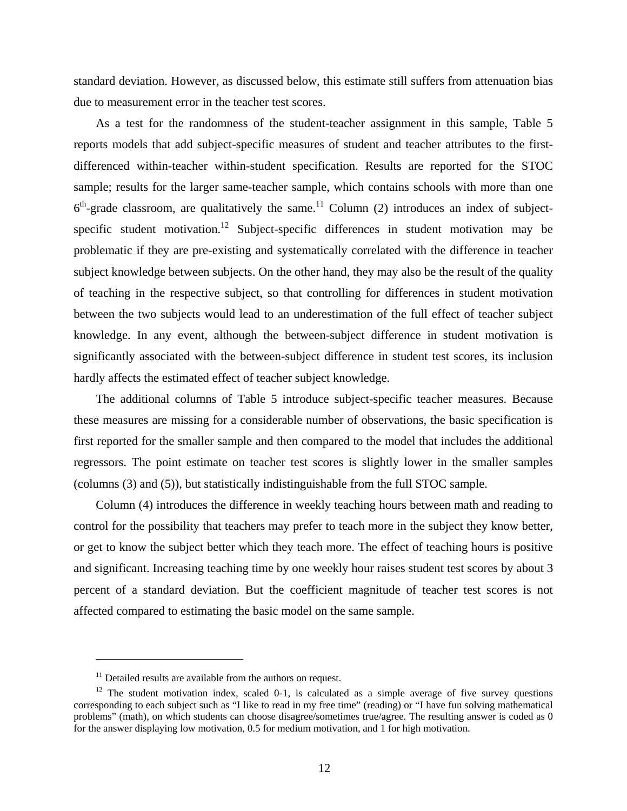standard deviation. However, as discussed below, this estimate still suffers from attenuation bias due to measurement error in the teacher test scores.

As a test for the randomness of the student-teacher assignment in this sample, Table 5 reports models that add subject-specific measures of student and teacher attributes to the firstdifferenced within-teacher within-student specification. Results are reported for the STOC sample; results for the larger same-teacher sample, which contains schools with more than one  $6<sup>th</sup>$ -grade classroom, are qualitatively the same.<sup>11</sup> Column (2) introduces an index of subjectspecific student motivation.<sup>12</sup> Subject-specific differences in student motivation may be problematic if they are pre-existing and systematically correlated with the difference in teacher subject knowledge between subjects. On the other hand, they may also be the result of the quality of teaching in the respective subject, so that controlling for differences in student motivation between the two subjects would lead to an underestimation of the full effect of teacher subject knowledge. In any event, although the between-subject difference in student motivation is significantly associated with the between-subject difference in student test scores, its inclusion hardly affects the estimated effect of teacher subject knowledge.

The additional columns of Table 5 introduce subject-specific teacher measures. Because these measures are missing for a considerable number of observations, the basic specification is first reported for the smaller sample and then compared to the model that includes the additional regressors. The point estimate on teacher test scores is slightly lower in the smaller samples (columns (3) and (5)), but statistically indistinguishable from the full STOC sample.

Column (4) introduces the difference in weekly teaching hours between math and reading to control for the possibility that teachers may prefer to teach more in the subject they know better, or get to know the subject better which they teach more. The effect of teaching hours is positive and significant. Increasing teaching time by one weekly hour raises student test scores by about 3 percent of a standard deviation. But the coefficient magnitude of teacher test scores is not affected compared to estimating the basic model on the same sample.

 $11$  Detailed results are available from the authors on request.

<sup>&</sup>lt;sup>12</sup> The student motivation index, scaled 0-1, is calculated as a simple average of five survey questions corresponding to each subject such as "I like to read in my free time" (reading) or "I have fun solving mathematical problems" (math), on which students can choose disagree/sometimes true/agree. The resulting answer is coded as 0 for the answer displaying low motivation, 0.5 for medium motivation, and 1 for high motivation.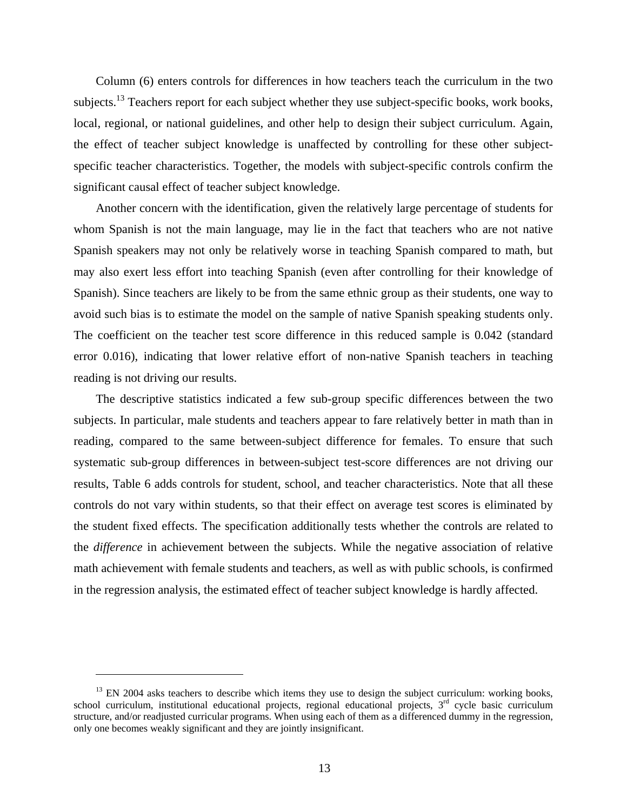Column (6) enters controls for differences in how teachers teach the curriculum in the two subjects.<sup>13</sup> Teachers report for each subject whether they use subject-specific books, work books, local, regional, or national guidelines, and other help to design their subject curriculum. Again, the effect of teacher subject knowledge is unaffected by controlling for these other subjectspecific teacher characteristics. Together, the models with subject-specific controls confirm the significant causal effect of teacher subject knowledge.

Another concern with the identification, given the relatively large percentage of students for whom Spanish is not the main language, may lie in the fact that teachers who are not native Spanish speakers may not only be relatively worse in teaching Spanish compared to math, but may also exert less effort into teaching Spanish (even after controlling for their knowledge of Spanish). Since teachers are likely to be from the same ethnic group as their students, one way to avoid such bias is to estimate the model on the sample of native Spanish speaking students only. The coefficient on the teacher test score difference in this reduced sample is 0.042 (standard error 0.016), indicating that lower relative effort of non-native Spanish teachers in teaching reading is not driving our results.

The descriptive statistics indicated a few sub-group specific differences between the two subjects. In particular, male students and teachers appear to fare relatively better in math than in reading, compared to the same between-subject difference for females. To ensure that such systematic sub-group differences in between-subject test-score differences are not driving our results, Table 6 adds controls for student, school, and teacher characteristics. Note that all these controls do not vary within students, so that their effect on average test scores is eliminated by the student fixed effects. The specification additionally tests whether the controls are related to the *difference* in achievement between the subjects. While the negative association of relative math achievement with female students and teachers, as well as with public schools, is confirmed in the regression analysis, the estimated effect of teacher subject knowledge is hardly affected.

 $13$  EN 2004 asks teachers to describe which items they use to design the subject curriculum: working books, school curriculum, institutional educational projects, regional educational projects,  $3<sup>rd</sup>$  cycle basic curriculum structure, and/or readjusted curricular programs. When using each of them as a differenced dummy in the regression, only one becomes weakly significant and they are jointly insignificant.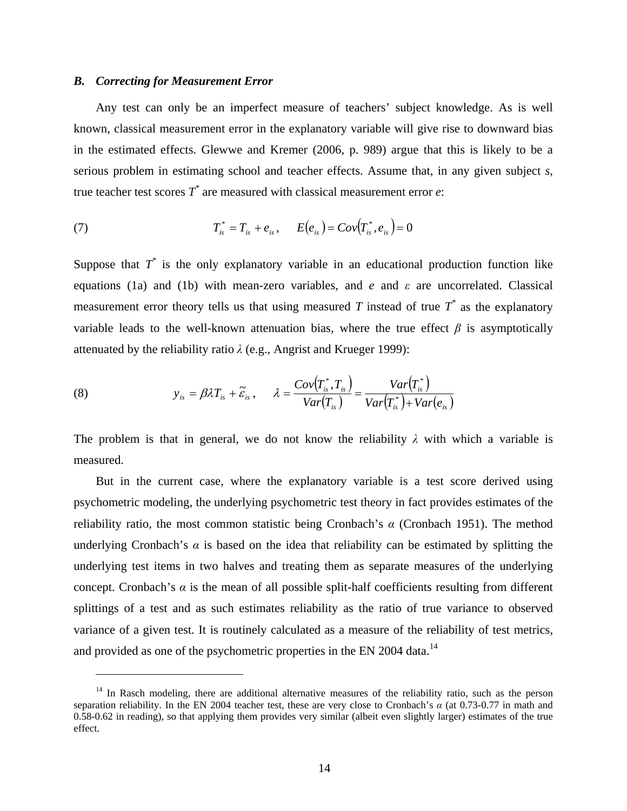#### *B. Correcting for Measurement Error*

 $\overline{a}$ 

Any test can only be an imperfect measure of teachers' subject knowledge. As is well known, classical measurement error in the explanatory variable will give rise to downward bias in the estimated effects. Glewwe and Kremer (2006, p. 989) argue that this is likely to be a serious problem in estimating school and teacher effects. Assume that, in any given subject *s*, true teacher test scores  $T^*$  are measured with classical measurement error  $e$ :

(7) 
$$
T_{is}^* = T_{is} + e_{is}, \qquad E(e_{is}) = Cov(T_{is}^*, e_{is}) = 0
$$

Suppose that  $T^*$  is the only explanatory variable in an educational production function like equations (1a) and (1b) with mean-zero variables, and *e* and *ε* are uncorrelated. Classical measurement error theory tells us that using measured *T* instead of true  $T^*$  as the explanatory variable leads to the well-known attenuation bias, where the true effect  $\beta$  is asymptotically attenuated by the reliability ratio *λ* (e.g., Angrist and Krueger 1999):

(8) 
$$
y_{is} = \beta \lambda T_{is} + \widetilde{\varepsilon}_{is} , \qquad \lambda = \frac{Cov(T_{is}^*, T_{is})}{Var(T_{is})} = \frac{Var(T_{is}^*)}{Var(T_{is}^*) + Var(e_{is})}
$$

The problem is that in general, we do not know the reliability  $\lambda$  with which a variable is measured.

But in the current case, where the explanatory variable is a test score derived using psychometric modeling, the underlying psychometric test theory in fact provides estimates of the reliability ratio, the most common statistic being Cronbach's *α* (Cronbach 1951). The method underlying Cronbach's  $\alpha$  is based on the idea that reliability can be estimated by splitting the underlying test items in two halves and treating them as separate measures of the underlying concept. Cronbach's  $\alpha$  is the mean of all possible split-half coefficients resulting from different splittings of a test and as such estimates reliability as the ratio of true variance to observed variance of a given test. It is routinely calculated as a measure of the reliability of test metrics, and provided as one of the psychometric properties in the EN 2004 data.<sup>14</sup>

<sup>&</sup>lt;sup>14</sup> In Rasch modeling, there are additional alternative measures of the reliability ratio, such as the person separation reliability. In the EN 2004 teacher test, these are very close to Cronbach's *α* (at 0.73-0.77 in math and 0.58-0.62 in reading), so that applying them provides very similar (albeit even slightly larger) estimates of the true effect.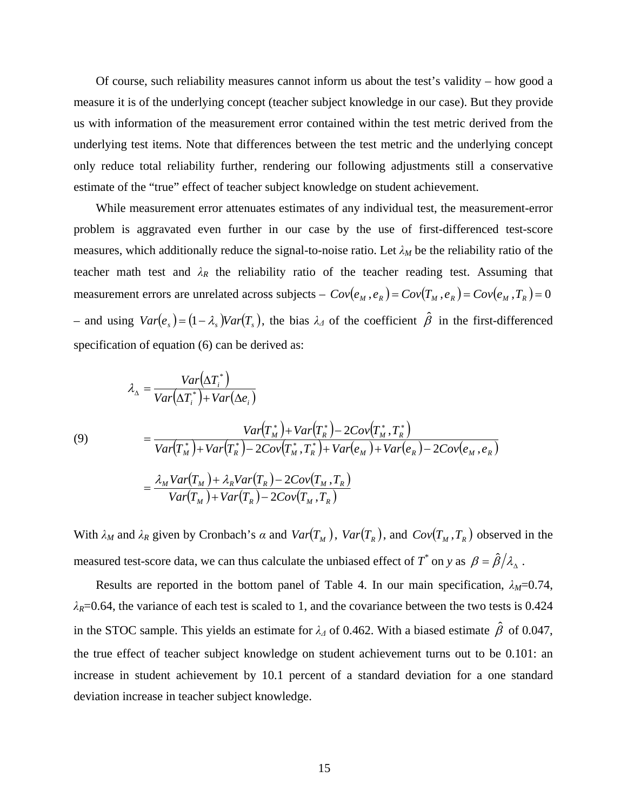Of course, such reliability measures cannot inform us about the test's validity – how good a measure it is of the underlying concept (teacher subject knowledge in our case). But they provide us with information of the measurement error contained within the test metric derived from the underlying test items. Note that differences between the test metric and the underlying concept only reduce total reliability further, rendering our following adjustments still a conservative estimate of the "true" effect of teacher subject knowledge on student achievement.

While measurement error attenuates estimates of any individual test, the measurement-error problem is aggravated even further in our case by the use of first-differenced test-score measures, which additionally reduce the signal-to-noise ratio. Let  $\lambda_M$  be the reliability ratio of the teacher math test and  $\lambda_R$  the reliability ratio of the teacher reading test. Assuming that measurement errors are unrelated across subjects –  $Cov(e_M, e_R) = Cov(T_M, e_R) = Cov(e_M, T_R) = 0$  $-$  and using  $Var(e_s) = (1 - \lambda_s)Var(T_s)$ , the bias  $\lambda_A$  of the coefficient  $\hat{\beta}$  in the first-differenced specification of equation (6) can be derived as:

(9)  
\n
$$
\lambda_{\Delta} = \frac{Var(\Delta T_i^*)}{Var(\Delta T_i^*) + Var(\Delta e_i)}
$$
\n
$$
= \frac{Var(T_M^*) + Var(T_M^*) - 2Cov(T_M^*, T_R^*)}{Var(T_M^*) + Var(T_R^*) - 2Cov(T_M^*, T_R^*) + Var(e_M) + Var(e_R) - 2Cov(e_M, e_R)}
$$
\n
$$
= \frac{\lambda_M Var(T_M) + \lambda_R Var(T_R) - 2Cov(T_M, T_R)}{Var(T_M) + Var(T_R) - 2Cov(T_M, T_R)}
$$

With  $\lambda_M$  and  $\lambda_R$  given by Cronbach's  $\alpha$  and  $Var(T_M)$ ,  $Var(T_R)$ , and  $Cov(T_M, T_R)$  observed in the measured test-score data, we can thus calculate the unbiased effect of  $T^*$  on *y* as  $\beta = \hat{\beta}/\lambda_{\Delta}$ .

Results are reported in the bottom panel of Table 4. In our main specification,  $\lambda_M = 0.74$ ,  $\lambda_R$ =0.64, the variance of each test is scaled to 1, and the covariance between the two tests is 0.424 in the STOC sample. This yields an estimate for  $\lambda_4$  of 0.462. With a biased estimate  $\hat{\beta}$  of 0.047, the true effect of teacher subject knowledge on student achievement turns out to be 0.101: an increase in student achievement by 10.1 percent of a standard deviation for a one standard deviation increase in teacher subject knowledge.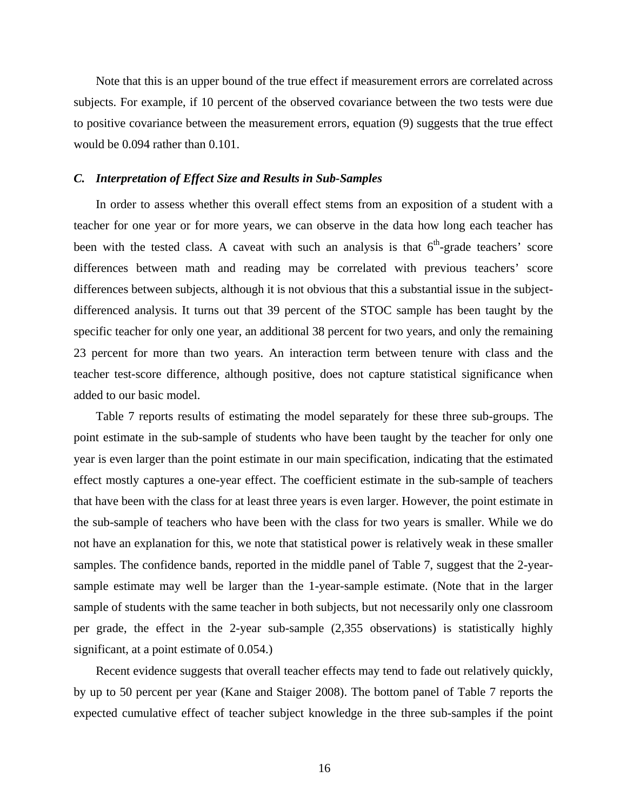Note that this is an upper bound of the true effect if measurement errors are correlated across subjects. For example, if 10 percent of the observed covariance between the two tests were due to positive covariance between the measurement errors, equation (9) suggests that the true effect would be 0.094 rather than 0.101.

#### *C. Interpretation of Effect Size and Results in Sub-Samples*

In order to assess whether this overall effect stems from an exposition of a student with a teacher for one year or for more years, we can observe in the data how long each teacher has been with the tested class. A caveat with such an analysis is that  $6<sup>th</sup>$ -grade teachers' score differences between math and reading may be correlated with previous teachers' score differences between subjects, although it is not obvious that this a substantial issue in the subjectdifferenced analysis. It turns out that 39 percent of the STOC sample has been taught by the specific teacher for only one year, an additional 38 percent for two years, and only the remaining 23 percent for more than two years. An interaction term between tenure with class and the teacher test-score difference, although positive, does not capture statistical significance when added to our basic model.

Table 7 reports results of estimating the model separately for these three sub-groups. The point estimate in the sub-sample of students who have been taught by the teacher for only one year is even larger than the point estimate in our main specification, indicating that the estimated effect mostly captures a one-year effect. The coefficient estimate in the sub-sample of teachers that have been with the class for at least three years is even larger. However, the point estimate in the sub-sample of teachers who have been with the class for two years is smaller. While we do not have an explanation for this, we note that statistical power is relatively weak in these smaller samples. The confidence bands, reported in the middle panel of Table 7, suggest that the 2-yearsample estimate may well be larger than the 1-year-sample estimate. (Note that in the larger sample of students with the same teacher in both subjects, but not necessarily only one classroom per grade, the effect in the 2-year sub-sample (2,355 observations) is statistically highly significant, at a point estimate of 0.054.)

Recent evidence suggests that overall teacher effects may tend to fade out relatively quickly, by up to 50 percent per year (Kane and Staiger 2008). The bottom panel of Table 7 reports the expected cumulative effect of teacher subject knowledge in the three sub-samples if the point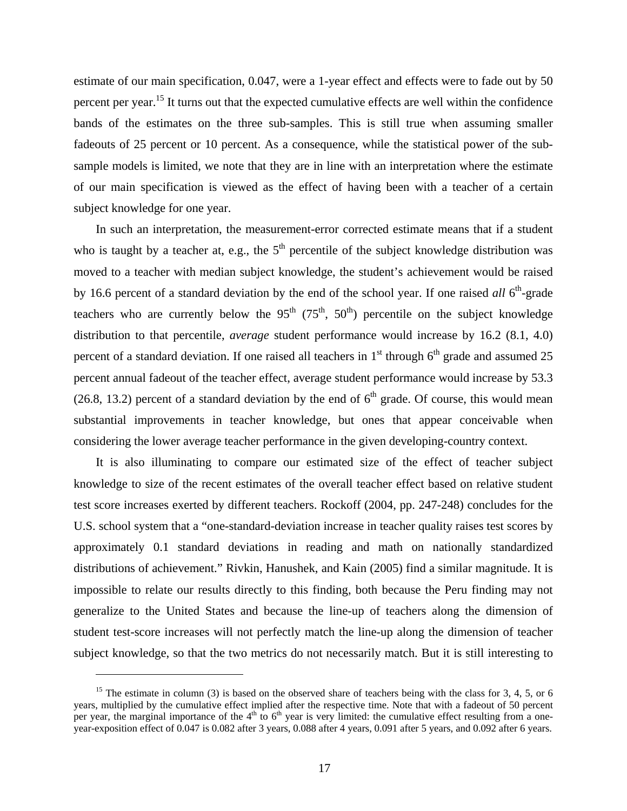estimate of our main specification, 0.047, were a 1-year effect and effects were to fade out by 50 percent per year.<sup>15</sup> It turns out that the expected cumulative effects are well within the confidence bands of the estimates on the three sub-samples. This is still true when assuming smaller fadeouts of 25 percent or 10 percent. As a consequence, while the statistical power of the subsample models is limited, we note that they are in line with an interpretation where the estimate of our main specification is viewed as the effect of having been with a teacher of a certain subject knowledge for one year.

In such an interpretation, the measurement-error corrected estimate means that if a student who is taught by a teacher at, e.g., the  $5<sup>th</sup>$  percentile of the subject knowledge distribution was moved to a teacher with median subject knowledge, the student's achievement would be raised by 16.6 percent of a standard deviation by the end of the school year. If one raised *all* 6<sup>th</sup>-grade teachers who are currently below the  $95<sup>th</sup> (75<sup>th</sup>, 50<sup>th</sup>)$  percentile on the subject knowledge distribution to that percentile, *average* student performance would increase by 16.2 (8.1, 4.0) percent of a standard deviation. If one raised all teachers in  $1<sup>st</sup>$  through  $6<sup>th</sup>$  grade and assumed 25 percent annual fadeout of the teacher effect, average student performance would increase by 53.3 (26.8, 13.2) percent of a standard deviation by the end of  $6<sup>th</sup>$  grade. Of course, this would mean substantial improvements in teacher knowledge, but ones that appear conceivable when considering the lower average teacher performance in the given developing-country context.

It is also illuminating to compare our estimated size of the effect of teacher subject knowledge to size of the recent estimates of the overall teacher effect based on relative student test score increases exerted by different teachers. Rockoff (2004, pp. 247-248) concludes for the U.S. school system that a "one-standard-deviation increase in teacher quality raises test scores by approximately 0.1 standard deviations in reading and math on nationally standardized distributions of achievement." Rivkin, Hanushek, and Kain (2005) find a similar magnitude. It is impossible to relate our results directly to this finding, both because the Peru finding may not generalize to the United States and because the line-up of teachers along the dimension of student test-score increases will not perfectly match the line-up along the dimension of teacher subject knowledge, so that the two metrics do not necessarily match. But it is still interesting to

<sup>&</sup>lt;sup>15</sup> The estimate in column (3) is based on the observed share of teachers being with the class for 3, 4, 5, or 6 years, multiplied by the cumulative effect implied after the respective time. Note that with a fadeout of 50 percent per year, the marginal importance of the  $4<sup>th</sup>$  to  $6<sup>th</sup>$  year is very limited: the cumulative effect resulting from a oneyear-exposition effect of 0.047 is 0.082 after 3 years, 0.088 after 4 years, 0.091 after 5 years, and 0.092 after 6 years.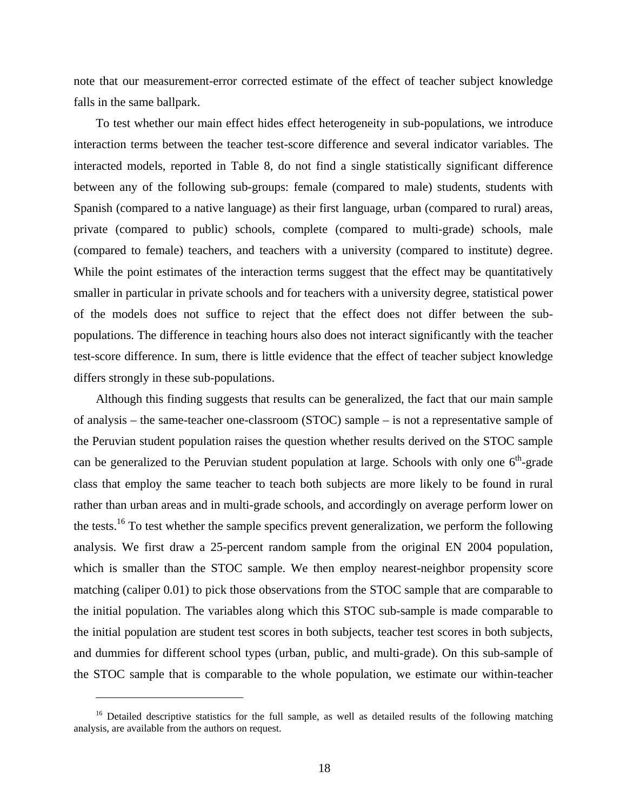note that our measurement-error corrected estimate of the effect of teacher subject knowledge falls in the same ballpark.

To test whether our main effect hides effect heterogeneity in sub-populations, we introduce interaction terms between the teacher test-score difference and several indicator variables. The interacted models, reported in Table 8, do not find a single statistically significant difference between any of the following sub-groups: female (compared to male) students, students with Spanish (compared to a native language) as their first language, urban (compared to rural) areas, private (compared to public) schools, complete (compared to multi-grade) schools, male (compared to female) teachers, and teachers with a university (compared to institute) degree. While the point estimates of the interaction terms suggest that the effect may be quantitatively smaller in particular in private schools and for teachers with a university degree, statistical power of the models does not suffice to reject that the effect does not differ between the subpopulations. The difference in teaching hours also does not interact significantly with the teacher test-score difference. In sum, there is little evidence that the effect of teacher subject knowledge differs strongly in these sub-populations.

Although this finding suggests that results can be generalized, the fact that our main sample of analysis – the same-teacher one-classroom (STOC) sample – is not a representative sample of the Peruvian student population raises the question whether results derived on the STOC sample can be generalized to the Peruvian student population at large. Schools with only one  $6<sup>th</sup>$ -grade class that employ the same teacher to teach both subjects are more likely to be found in rural rather than urban areas and in multi-grade schools, and accordingly on average perform lower on the tests.<sup>16</sup> To test whether the sample specifics prevent generalization, we perform the following analysis. We first draw a 25-percent random sample from the original EN 2004 population, which is smaller than the STOC sample. We then employ nearest-neighbor propensity score matching (caliper 0.01) to pick those observations from the STOC sample that are comparable to the initial population. The variables along which this STOC sub-sample is made comparable to the initial population are student test scores in both subjects, teacher test scores in both subjects, and dummies for different school types (urban, public, and multi-grade). On this sub-sample of the STOC sample that is comparable to the whole population, we estimate our within-teacher

<sup>&</sup>lt;sup>16</sup> Detailed descriptive statistics for the full sample, as well as detailed results of the following matching analysis, are available from the authors on request.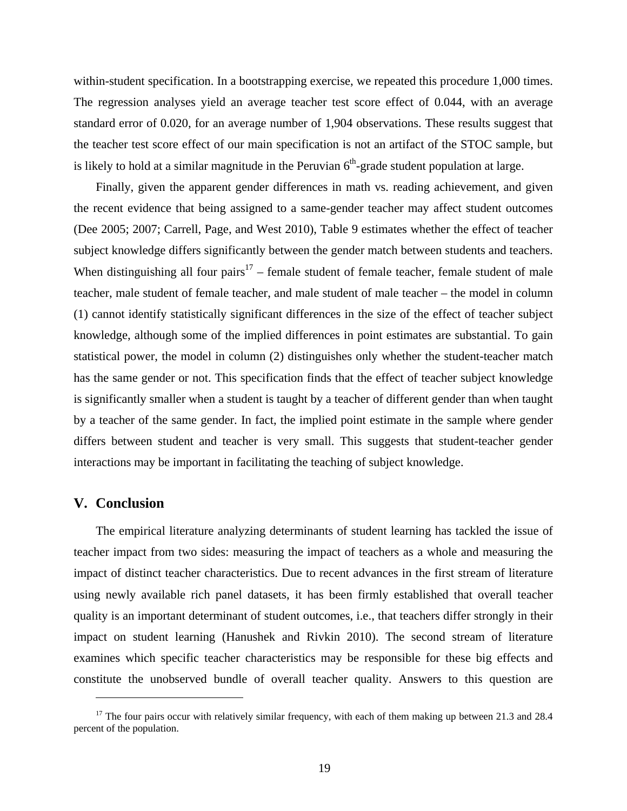within-student specification. In a bootstrapping exercise, we repeated this procedure 1,000 times. The regression analyses yield an average teacher test score effect of 0.044, with an average standard error of 0.020, for an average number of 1,904 observations. These results suggest that the teacher test score effect of our main specification is not an artifact of the STOC sample, but is likely to hold at a similar magnitude in the Peruvian  $6<sup>th</sup>$ -grade student population at large.

Finally, given the apparent gender differences in math vs. reading achievement, and given the recent evidence that being assigned to a same-gender teacher may affect student outcomes (Dee 2005; 2007; Carrell, Page, and West 2010), Table 9 estimates whether the effect of teacher subject knowledge differs significantly between the gender match between students and teachers. When distinguishing all four pairs<sup>17</sup> – female student of female teacher, female student of male teacher, male student of female teacher, and male student of male teacher – the model in column (1) cannot identify statistically significant differences in the size of the effect of teacher subject knowledge, although some of the implied differences in point estimates are substantial. To gain statistical power, the model in column (2) distinguishes only whether the student-teacher match has the same gender or not. This specification finds that the effect of teacher subject knowledge is significantly smaller when a student is taught by a teacher of different gender than when taught by a teacher of the same gender. In fact, the implied point estimate in the sample where gender differs between student and teacher is very small. This suggests that student-teacher gender interactions may be important in facilitating the teaching of subject knowledge.

#### **V. Conclusion**

 $\overline{a}$ 

The empirical literature analyzing determinants of student learning has tackled the issue of teacher impact from two sides: measuring the impact of teachers as a whole and measuring the impact of distinct teacher characteristics. Due to recent advances in the first stream of literature using newly available rich panel datasets, it has been firmly established that overall teacher quality is an important determinant of student outcomes, i.e., that teachers differ strongly in their impact on student learning (Hanushek and Rivkin 2010). The second stream of literature examines which specific teacher characteristics may be responsible for these big effects and constitute the unobserved bundle of overall teacher quality. Answers to this question are

 $17$  The four pairs occur with relatively similar frequency, with each of them making up between 21.3 and 28.4 percent of the population.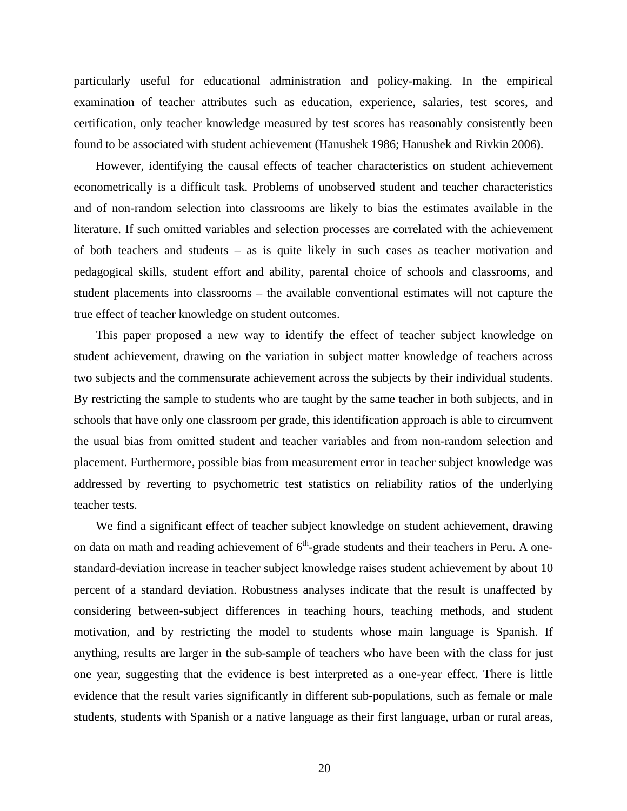particularly useful for educational administration and policy-making. In the empirical examination of teacher attributes such as education, experience, salaries, test scores, and certification, only teacher knowledge measured by test scores has reasonably consistently been found to be associated with student achievement (Hanushek 1986; Hanushek and Rivkin 2006).

However, identifying the causal effects of teacher characteristics on student achievement econometrically is a difficult task. Problems of unobserved student and teacher characteristics and of non-random selection into classrooms are likely to bias the estimates available in the literature. If such omitted variables and selection processes are correlated with the achievement of both teachers and students – as is quite likely in such cases as teacher motivation and pedagogical skills, student effort and ability, parental choice of schools and classrooms, and student placements into classrooms – the available conventional estimates will not capture the true effect of teacher knowledge on student outcomes.

This paper proposed a new way to identify the effect of teacher subject knowledge on student achievement, drawing on the variation in subject matter knowledge of teachers across two subjects and the commensurate achievement across the subjects by their individual students. By restricting the sample to students who are taught by the same teacher in both subjects, and in schools that have only one classroom per grade, this identification approach is able to circumvent the usual bias from omitted student and teacher variables and from non-random selection and placement. Furthermore, possible bias from measurement error in teacher subject knowledge was addressed by reverting to psychometric test statistics on reliability ratios of the underlying teacher tests.

We find a significant effect of teacher subject knowledge on student achievement, drawing on data on math and reading achievement of  $6<sup>th</sup>$ -grade students and their teachers in Peru. A onestandard-deviation increase in teacher subject knowledge raises student achievement by about 10 percent of a standard deviation. Robustness analyses indicate that the result is unaffected by considering between-subject differences in teaching hours, teaching methods, and student motivation, and by restricting the model to students whose main language is Spanish. If anything, results are larger in the sub-sample of teachers who have been with the class for just one year, suggesting that the evidence is best interpreted as a one-year effect. There is little evidence that the result varies significantly in different sub-populations, such as female or male students, students with Spanish or a native language as their first language, urban or rural areas,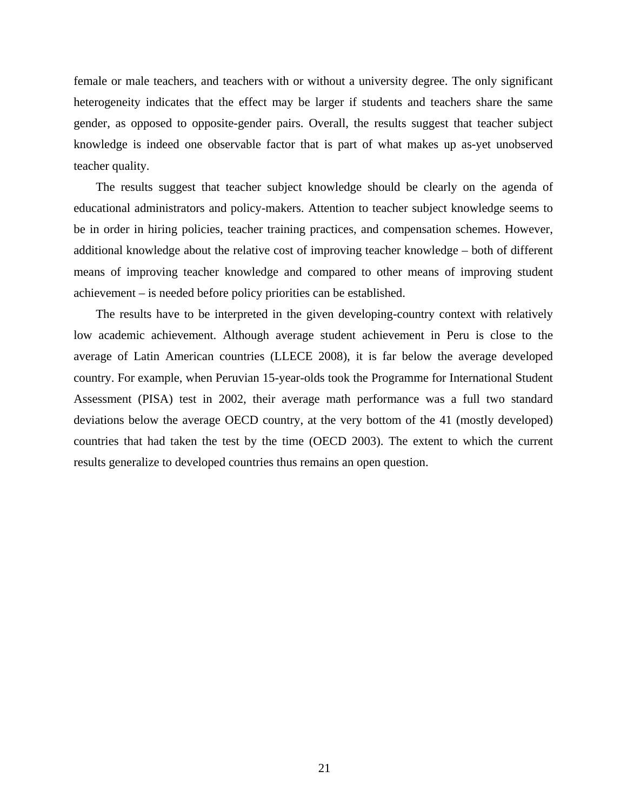female or male teachers, and teachers with or without a university degree. The only significant heterogeneity indicates that the effect may be larger if students and teachers share the same gender, as opposed to opposite-gender pairs. Overall, the results suggest that teacher subject knowledge is indeed one observable factor that is part of what makes up as-yet unobserved teacher quality.

The results suggest that teacher subject knowledge should be clearly on the agenda of educational administrators and policy-makers. Attention to teacher subject knowledge seems to be in order in hiring policies, teacher training practices, and compensation schemes. However, additional knowledge about the relative cost of improving teacher knowledge – both of different means of improving teacher knowledge and compared to other means of improving student achievement – is needed before policy priorities can be established.

The results have to be interpreted in the given developing-country context with relatively low academic achievement. Although average student achievement in Peru is close to the average of Latin American countries (LLECE 2008), it is far below the average developed country. For example, when Peruvian 15-year-olds took the Programme for International Student Assessment (PISA) test in 2002, their average math performance was a full two standard deviations below the average OECD country, at the very bottom of the 41 (mostly developed) countries that had taken the test by the time (OECD 2003). The extent to which the current results generalize to developed countries thus remains an open question.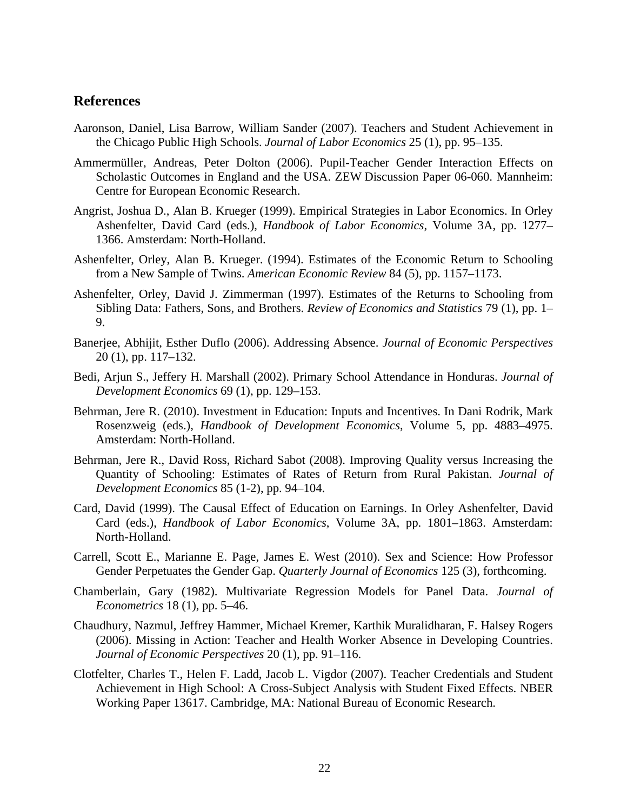## **References**

- Aaronson, Daniel, Lisa Barrow, William Sander (2007). Teachers and Student Achievement in the Chicago Public High Schools. *Journal of Labor Economics* 25 (1), pp. 95–135.
- Ammermüller, Andreas, Peter Dolton (2006). Pupil-Teacher Gender Interaction Effects on Scholastic Outcomes in England and the USA. ZEW Discussion Paper 06-060. Mannheim: Centre for European Economic Research.
- Angrist, Joshua D., Alan B. Krueger (1999). Empirical Strategies in Labor Economics. In Orley Ashenfelter, David Card (eds.), *Handbook of Labor Economics*, Volume 3A, pp. 1277– 1366. Amsterdam: North-Holland.
- Ashenfelter, Orley, Alan B. Krueger. (1994). Estimates of the Economic Return to Schooling from a New Sample of Twins. *American Economic Review* 84 (5), pp. 1157–1173.
- Ashenfelter, Orley, David J. Zimmerman (1997). Estimates of the Returns to Schooling from Sibling Data: Fathers, Sons, and Brothers. *Review of Economics and Statistics* 79 (1), pp. 1– 9.
- Banerjee, Abhijit, Esther Duflo (2006). Addressing Absence. *Journal of Economic Perspectives* 20 (1), pp. 117–132.
- Bedi, Arjun S., Jeffery H. Marshall (2002). Primary School Attendance in Honduras. *Journal of Development Economics* 69 (1), pp. 129–153.
- Behrman, Jere R. (2010). Investment in Education: Inputs and Incentives. In Dani Rodrik, Mark Rosenzweig (eds.), *Handbook of Development Economics*, Volume 5, pp. 4883–4975. Amsterdam: North-Holland.
- Behrman, Jere R., David Ross, Richard Sabot (2008). Improving Quality versus Increasing the Quantity of Schooling: Estimates of Rates of Return from Rural Pakistan. *Journal of Development Economics* 85 (1-2), pp. 94–104.
- Card, David (1999). The Causal Effect of Education on Earnings. In Orley Ashenfelter, David Card (eds.), *Handbook of Labor Economics*, Volume 3A, pp. 1801–1863. Amsterdam: North-Holland.
- Carrell, Scott E., Marianne E. Page, James E. West (2010). Sex and Science: How Professor Gender Perpetuates the Gender Gap. *Quarterly Journal of Economics* 125 (3), forthcoming.
- Chamberlain, Gary (1982). Multivariate Regression Models for Panel Data. *Journal of Econometrics* 18 (1), pp. 5–46.
- Chaudhury, Nazmul, Jeffrey Hammer, Michael Kremer, Karthik Muralidharan, F. Halsey Rogers (2006). Missing in Action: Teacher and Health Worker Absence in Developing Countries. *Journal of Economic Perspectives* 20 (1), pp. 91–116.
- Clotfelter, Charles T., Helen F. Ladd, Jacob L. Vigdor (2007). Teacher Credentials and Student Achievement in High School: A Cross-Subject Analysis with Student Fixed Effects. NBER Working Paper 13617. Cambridge, MA: National Bureau of Economic Research.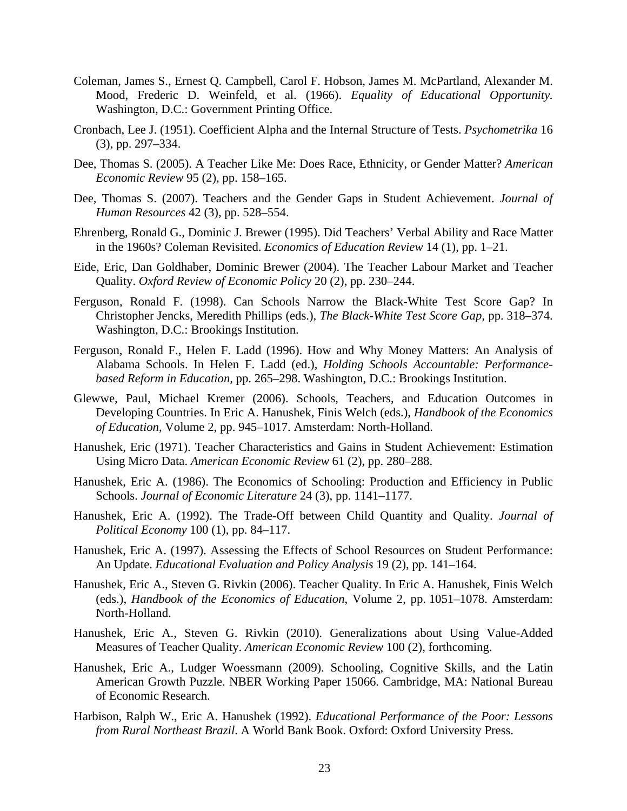- Coleman, James S., Ernest Q. Campbell, Carol F. Hobson, James M. McPartland, Alexander M. Mood, Frederic D. Weinfeld, et al. (1966). *Equality of Educational Opportunity.*  Washington, D.C.: Government Printing Office.
- Cronbach, Lee J. (1951). Coefficient Alpha and the Internal Structure of Tests. *Psychometrika* 16 (3), pp. 297–334.
- Dee, Thomas S. (2005). A Teacher Like Me: Does Race, Ethnicity, or Gender Matter? *American Economic Review* 95 (2), pp. 158–165.
- Dee, Thomas S. (2007). Teachers and the Gender Gaps in Student Achievement. *Journal of Human Resources* 42 (3), pp. 528–554.
- Ehrenberg, Ronald G., Dominic J. Brewer (1995). Did Teachers' Verbal Ability and Race Matter in the 1960s? Coleman Revisited. *Economics of Education Review* 14 (1), pp. 1–21.
- Eide, Eric, Dan Goldhaber, Dominic Brewer (2004). The Teacher Labour Market and Teacher Quality. *Oxford Review of Economic Policy* 20 (2), pp. 230–244.
- Ferguson, Ronald F. (1998). Can Schools Narrow the Black-White Test Score Gap? In Christopher Jencks, Meredith Phillips (eds.), *The Black-White Test Score Gap,* pp. 318–374. Washington, D.C.: Brookings Institution.
- Ferguson, Ronald F., Helen F. Ladd (1996). How and Why Money Matters: An Analysis of Alabama Schools. In Helen F. Ladd (ed.), *Holding Schools Accountable: Performancebased Reform in Education,* pp. 265–298. Washington, D.C.: Brookings Institution.
- Glewwe, Paul, Michael Kremer (2006). Schools, Teachers, and Education Outcomes in Developing Countries. In Eric A. Hanushek, Finis Welch (eds.), *Handbook of the Economics of Education*, Volume 2, pp. 945–1017. Amsterdam: North-Holland.
- Hanushek, Eric (1971). Teacher Characteristics and Gains in Student Achievement: Estimation Using Micro Data. *American Economic Review* 61 (2), pp. 280–288.
- Hanushek, Eric A. (1986). The Economics of Schooling: Production and Efficiency in Public Schools. *Journal of Economic Literature* 24 (3), pp. 1141–1177.
- Hanushek, Eric A. (1992). The Trade-Off between Child Quantity and Quality. *Journal of Political Economy* 100 (1), pp. 84–117.
- Hanushek, Eric A. (1997). Assessing the Effects of School Resources on Student Performance: An Update. *Educational Evaluation and Policy Analysis* 19 (2), pp. 141–164.
- Hanushek, Eric A., Steven G. Rivkin (2006). Teacher Quality. In Eric A. Hanushek, Finis Welch (eds.), *Handbook of the Economics of Education*, Volume 2, pp. 1051–1078. Amsterdam: North-Holland.
- Hanushek, Eric A., Steven G. Rivkin (2010). Generalizations about Using Value-Added Measures of Teacher Quality. *American Economic Review* 100 (2), forthcoming.
- Hanushek, Eric A., Ludger Woessmann (2009). Schooling, Cognitive Skills, and the Latin American Growth Puzzle. NBER Working Paper 15066. Cambridge, MA: National Bureau of Economic Research.
- Harbison, Ralph W., Eric A. Hanushek (1992). *Educational Performance of the Poor: Lessons from Rural Northeast Brazil*. A World Bank Book. Oxford: Oxford University Press.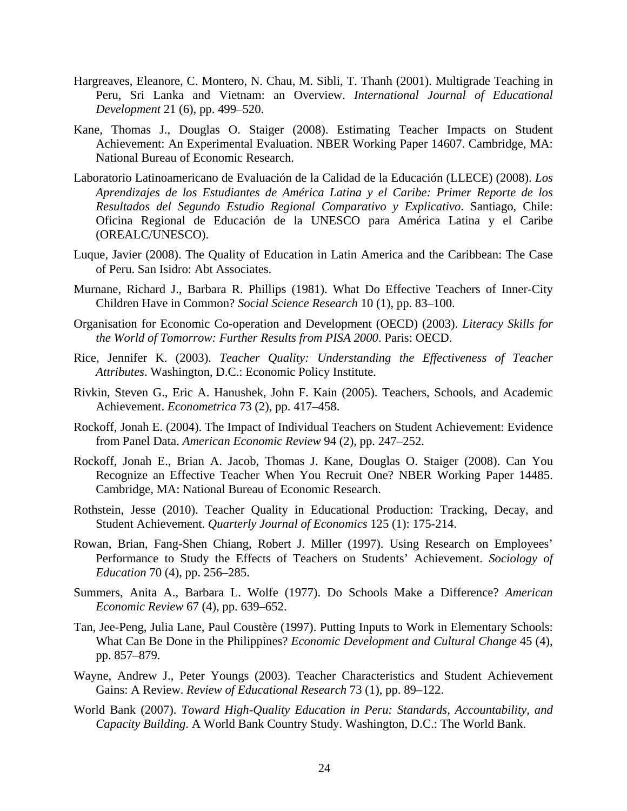- Hargreaves, Eleanore, C. Montero, N. Chau, M. Sibli, T. Thanh (2001). Multigrade Teaching in Peru, Sri Lanka and Vietnam: an Overview. *International Journal of Educational Development* 21 (6), pp. 499–520.
- Kane, Thomas J., Douglas O. Staiger (2008). Estimating Teacher Impacts on Student Achievement: An Experimental Evaluation. NBER Working Paper 14607. Cambridge, MA: National Bureau of Economic Research.
- Laboratorio Latinoamericano de Evaluación de la Calidad de la Educación (LLECE) (2008). *Los Aprendizajes de los Estudiantes de América Latina y el Caribe: Primer Reporte de los Resultados del Segundo Estudio Regional Comparativo y Explicativo*. Santiago, Chile: Oficina Regional de Educación de la UNESCO para América Latina y el Caribe (OREALC/UNESCO).
- Luque, Javier (2008). The Quality of Education in Latin America and the Caribbean: The Case of Peru. San Isidro: Abt Associates.
- Murnane, Richard J., Barbara R. Phillips (1981). What Do Effective Teachers of Inner-City Children Have in Common? *Social Science Research* 10 (1), pp. 83–100.
- Organisation for Economic Co-operation and Development (OECD) (2003). *Literacy Skills for the World of Tomorrow: Further Results from PISA 2000*. Paris: OECD.
- Rice, Jennifer K. (2003). *Teacher Quality: Understanding the Effectiveness of Teacher Attributes*. Washington, D.C.: Economic Policy Institute.
- Rivkin, Steven G., Eric A. Hanushek, John F. Kain (2005). Teachers, Schools, and Academic Achievement. *Econometrica* 73 (2), pp. 417–458.
- Rockoff, Jonah E. (2004). The Impact of Individual Teachers on Student Achievement: Evidence from Panel Data. *American Economic Review* 94 (2), pp. 247–252.
- Rockoff, Jonah E., Brian A. Jacob, Thomas J. Kane, Douglas O. Staiger (2008). Can You Recognize an Effective Teacher When You Recruit One? NBER Working Paper 14485. Cambridge, MA: National Bureau of Economic Research.
- Rothstein, Jesse (2010). Teacher Quality in Educational Production: Tracking, Decay, and Student Achievement. *Quarterly Journal of Economics* 125 (1): 175-214.
- Rowan, Brian, Fang-Shen Chiang, Robert J. Miller (1997). Using Research on Employees' Performance to Study the Effects of Teachers on Students' Achievement. *Sociology of Education* 70 (4), pp. 256–285.
- Summers, Anita A., Barbara L. Wolfe (1977). Do Schools Make a Difference? *American Economic Review* 67 (4), pp. 639–652.
- Tan, Jee-Peng, Julia Lane, Paul Coustère (1997). Putting Inputs to Work in Elementary Schools: What Can Be Done in the Philippines? *Economic Development and Cultural Change* 45 (4), pp. 857–879.
- Wayne, Andrew J., Peter Youngs (2003). Teacher Characteristics and Student Achievement Gains: A Review. *Review of Educational Research* 73 (1), pp. 89–122.
- World Bank (2007). *Toward High-Quality Education in Peru: Standards, Accountability, and Capacity Building*. A World Bank Country Study. Washington, D.C.: The World Bank.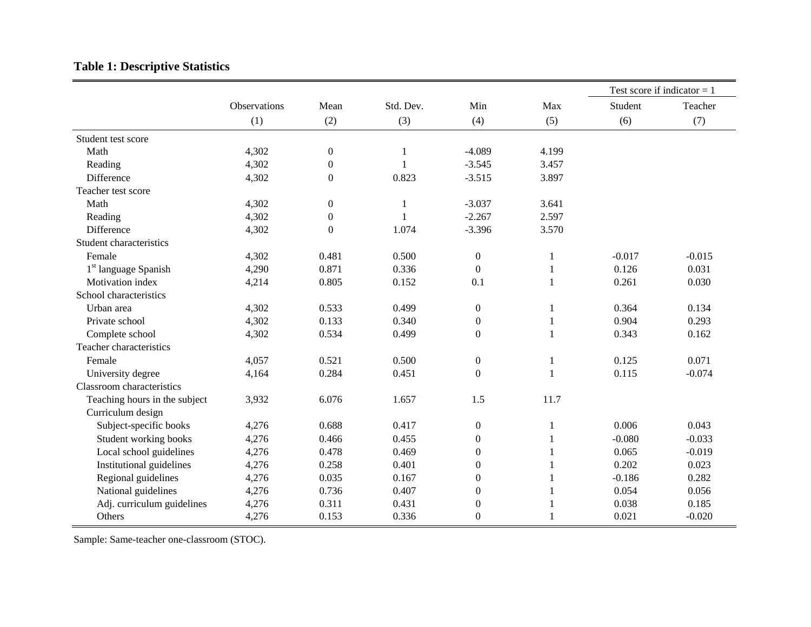# **Table 1: Descriptive Statistics**

|                                  |              |                  |              |                  |              |          | Test score if indicator $= 1$ |
|----------------------------------|--------------|------------------|--------------|------------------|--------------|----------|-------------------------------|
|                                  | Observations | Mean             | Std. Dev.    | Min              | Max          | Student  | Teacher                       |
|                                  | (1)          | (2)              | (3)          | (4)              | (5)          | (6)      | (7)                           |
| Student test score               |              |                  |              |                  |              |          |                               |
| Math                             | 4,302        | $\boldsymbol{0}$ | $\mathbf{1}$ | $-4.089$         | 4.199        |          |                               |
| Reading                          | 4,302        | $\overline{0}$   | -1           | $-3.545$         | 3.457        |          |                               |
| Difference                       | 4,302        | $\boldsymbol{0}$ | 0.823        | $-3.515$         | 3.897        |          |                               |
| Teacher test score               |              |                  |              |                  |              |          |                               |
| Math                             | 4,302        | $\boldsymbol{0}$ | 1            | $-3.037$         | 3.641        |          |                               |
| Reading                          | 4,302        | $\boldsymbol{0}$ |              | $-2.267$         | 2.597        |          |                               |
| Difference                       | 4,302        | $\theta$         | 1.074        | $-3.396$         | 3.570        |          |                               |
| Student characteristics          |              |                  |              |                  |              |          |                               |
| Female                           | 4,302        | 0.481            | 0.500        | $\boldsymbol{0}$ | 1            | $-0.017$ | $-0.015$                      |
| 1 <sup>st</sup> language Spanish | 4,290        | 0.871            | 0.336        | $\boldsymbol{0}$ | $\mathbf{1}$ | 0.126    | 0.031                         |
| Motivation index                 | 4,214        | 0.805            | 0.152        | 0.1              | $\mathbf{1}$ | 0.261    | 0.030                         |
| School characteristics           |              |                  |              |                  |              |          |                               |
| Urban area                       | 4,302        | 0.533            | 0.499        | $\boldsymbol{0}$ | 1            | 0.364    | 0.134                         |
| Private school                   | 4,302        | 0.133            | 0.340        | $\boldsymbol{0}$ |              | 0.904    | 0.293                         |
| Complete school                  | 4,302        | 0.534            | 0.499        | $\mathbf{0}$     |              | 0.343    | 0.162                         |
| Teacher characteristics          |              |                  |              |                  |              |          |                               |
| Female                           | 4,057        | 0.521            | 0.500        | $\boldsymbol{0}$ | 1            | 0.125    | 0.071                         |
| University degree                | 4,164        | 0.284            | 0.451        | $\Omega$         | 1            | 0.115    | $-0.074$                      |
| Classroom characteristics        |              |                  |              |                  |              |          |                               |
| Teaching hours in the subject    | 3,932        | 6.076            | 1.657        | 1.5              | 11.7         |          |                               |
| Curriculum design                |              |                  |              |                  |              |          |                               |
| Subject-specific books           | 4,276        | 0.688            | 0.417        | $\boldsymbol{0}$ | 1            | 0.006    | 0.043                         |
| Student working books            | 4,276        | 0.466            | 0.455        | $\boldsymbol{0}$ | 1            | $-0.080$ | $-0.033$                      |
| Local school guidelines          | 4,276        | 0.478            | 0.469        | $\overline{0}$   | 1            | 0.065    | $-0.019$                      |
| Institutional guidelines         | 4,276        | 0.258            | 0.401        | $\boldsymbol{0}$ |              | 0.202    | 0.023                         |
| Regional guidelines              | 4,276        | 0.035            | 0.167        | $\boldsymbol{0}$ |              | $-0.186$ | 0.282                         |
| National guidelines              | 4,276        | 0.736            | 0.407        | $\boldsymbol{0}$ |              | 0.054    | 0.056                         |
| Adj. curriculum guidelines       | 4,276        | 0.311            | 0.431        | $\boldsymbol{0}$ |              | 0.038    | 0.185                         |
| Others                           | 4,276        | 0.153            | 0.336        | $\boldsymbol{0}$ |              | 0.021    | $-0.020$                      |

Sample: Same-teacher one-classroom (STOC).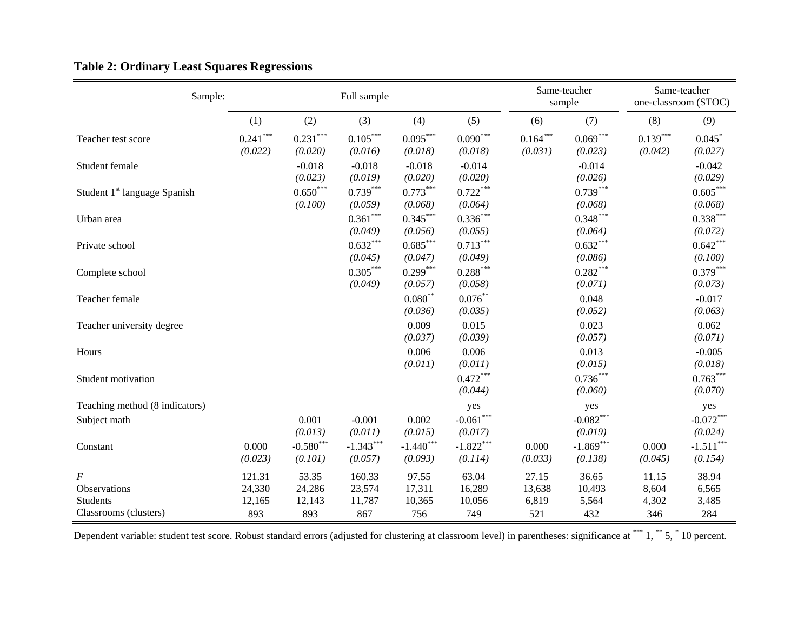| Sample:                                  |                       |                                             | Full sample                       |                                   |                                             |                       | Same-teacher<br>sample   |                       | Same-teacher<br>one-classroom (STOC)        |
|------------------------------------------|-----------------------|---------------------------------------------|-----------------------------------|-----------------------------------|---------------------------------------------|-----------------------|--------------------------|-----------------------|---------------------------------------------|
|                                          | (1)                   | (2)                                         | (3)                               | (4)                               | (5)                                         | (6)                   | (7)                      | (8)                   | (9)                                         |
| Teacher test score                       | $0.241***$<br>(0.022) | $0.231^{\ast\ast\ast}$<br>(0.020)           | $0.105***$<br>(0.016)             | $0.095^{\ast\ast\ast}$<br>(0.018) | $0.090^{\ast\ast\ast}$<br>(0.018)           | $0.164***$<br>(0.031) | $0.069^{***}$<br>(0.023) | $0.139***$<br>(0.042) | 0.045<br>(0.027)                            |
| Student female                           |                       | $-0.018$<br>(0.023)                         | $-0.018$<br>(0.019)               | $-0.018$<br>(0.020)               | $-0.014$<br>(0.020)                         |                       | $-0.014$<br>(0.026)      |                       | $-0.042$<br>(0.029)                         |
| Student 1 <sup>st</sup> language Spanish |                       | $0.650^{\ast\ast\ast}$<br>(0.100)           | $0.739***$<br>(0.059)             | $0.773***$<br>(0.068)             | $0.722***$<br>(0.064)                       |                       | $0.739***$<br>(0.068)    |                       | $0.605^{\ast\ast\ast}$<br>(0.068)           |
| Urban area                               |                       |                                             | $0.361^{\ast\ast\ast}$<br>(0.049) | $0.345***$<br>(0.056)             | $0.336***$<br>(0.055)                       |                       | $0.348***$<br>(0.064)    |                       | $0.338***$<br>(0.072)                       |
| Private school                           |                       |                                             | $0.632***$<br>(0.045)             | $0.685^{\ast\ast\ast}$<br>(0.047) | $0.713***$<br>(0.049)                       |                       | $0.632***$<br>(0.086)    |                       | $0.642***$<br>(0.100)                       |
| Complete school                          |                       |                                             | $0.305***$<br>(0.049)             | $0.299***$<br>(0.057)             | $0.288^{\ast\ast\ast}$<br>(0.058)           |                       | $0.282***$<br>(0.071)    |                       | $0.379***$<br>(0.073)                       |
| Teacher female                           |                       |                                             |                                   | $0.080^\ast$<br>(0.036)           | $0.076***$<br>(0.035)                       |                       | 0.048<br>(0.052)         |                       | $-0.017$<br>(0.063)                         |
| Teacher university degree                |                       |                                             |                                   | 0.009<br>(0.037)                  | 0.015<br>(0.039)                            |                       | 0.023<br>(0.057)         |                       | 0.062<br>(0.071)                            |
| Hours                                    |                       |                                             |                                   | 0.006<br>(0.011)                  | 0.006<br>(0.011)                            |                       | 0.013<br>(0.015)         |                       | $-0.005$<br>(0.018)                         |
| Student motivation                       |                       |                                             |                                   |                                   | $0.472***$<br>(0.044)                       |                       | $0.736***$<br>(0.060)    |                       | $0.763***$<br>(0.070)                       |
| Teaching method (8 indicators)           |                       |                                             |                                   |                                   | yes                                         |                       | yes                      |                       | yes                                         |
| Subject math                             |                       | 0.001<br>(0.013)                            | $-0.001$<br>(0.011)               | 0.002<br>(0.015)                  | $\textbf{-0.061}^{\ast\ast\ast}$<br>(0.017) |                       | $-0.082***$<br>(0.019)   |                       | $-0.072***$<br>(0.024)                      |
| Constant                                 | 0.000<br>(0.023)      | $\textbf{-0.580}^{\ast\ast\ast}$<br>(0.101) | $-1.343***$<br>(0.057)            | $-1.440$ ***<br>(0.093)           | $-1.822***$<br>(0.114)                      | 0.000<br>(0.033)      | $-1.869***$<br>(0.138)   | 0.000<br>(0.045)      | $\textbf{-1.511}^{\ast\ast\ast}$<br>(0.154) |
| F                                        | 121.31                | 53.35                                       | 160.33                            | 97.55                             | 63.04                                       | 27.15                 | 36.65                    | 11.15                 | 38.94                                       |
| Observations                             | 24,330                | 24,286                                      | 23,574                            | 17,311                            | 16,289                                      | 13,638                | 10,493                   | 8,604                 | 6,565                                       |
| Students<br>Classrooms (clusters)        | 12,165<br>893         | 12,143<br>893                               | 11,787<br>867                     | 10,365<br>756                     | 10,056<br>749                               | 6,819<br>521          | 5,564<br>432             | 4,302<br>346          | 3,485<br>284                                |
|                                          |                       |                                             |                                   |                                   |                                             |                       |                          |                       |                                             |

# **Table 2: Ordinary Least Squares Regressions**

Dependent variable: student test score. Robust standard errors (adjusted for clustering at classroom level) in parentheses: significance at \*\*\* 1, \*\* 5, \* 10 percent.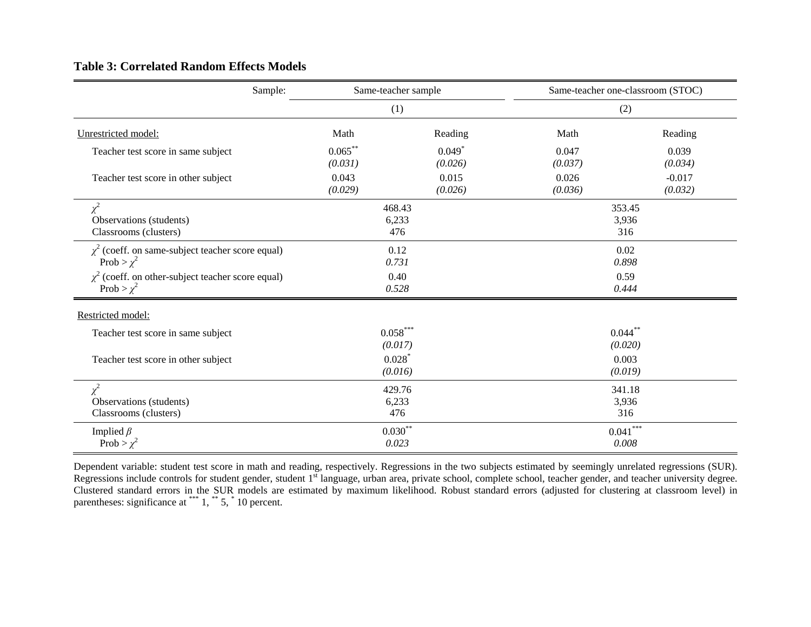#### **Table 3: Correlated Random Effects Models**

| Sample:                                                                   | Same-teacher sample   |                        |                        | Same-teacher one-classroom (STOC) |  |
|---------------------------------------------------------------------------|-----------------------|------------------------|------------------------|-----------------------------------|--|
|                                                                           | (1)                   |                        |                        | (2)                               |  |
| Unrestricted model:                                                       | Math                  | Reading                | Math                   | Reading                           |  |
| Teacher test score in same subject                                        | $0.065***$<br>(0.031) | $0.049*$<br>(0.026)    | 0.047<br>(0.037)       | 0.039<br>(0.034)                  |  |
| Teacher test score in other subject                                       | 0.043<br>(0.029)      | 0.015<br>(0.026)       | 0.026<br>(0.036)       | $-0.017$<br>(0.032)               |  |
| $\chi^2$<br>Observations (students)<br>Classrooms (clusters)              | 468.43                | 6,233<br>476           | 353.45<br>3,936<br>316 |                                   |  |
| $\chi^2$ (coeff. on same-subject teacher score equal)<br>Prob > $\chi^2$  | 0.12<br>0.731         |                        | 0.02<br>0.898          |                                   |  |
| $\chi^2$ (coeff. on other-subject teacher score equal)<br>Prob > $\chi^2$ | 0.40<br>0.528         |                        | 0.59<br>0.444          |                                   |  |
| Restricted model:                                                         |                       |                        |                        |                                   |  |
| Teacher test score in same subject                                        | $0.058***$<br>(0.017) |                        | $0.044***$<br>(0.020)  |                                   |  |
| Teacher test score in other subject                                       | $0.028$ <sup>*</sup>  | (0.016)                | 0.003<br>(0.019)       |                                   |  |
| $\chi^2$<br>Observations (students)<br>Classrooms (clusters)              |                       | 429.76<br>6,233<br>476 | 341.18<br>3,936<br>316 |                                   |  |
| Implied $\beta$<br>Prob > $\chi^2$                                        | 0.023                 | $0.030**$              |                        | $0.041^{\ast\ast\ast}$<br>0.008   |  |

Dependent variable: student test score in math and reading, respectively. Regressions in the two subjects estimated by seemingly unrelated regressions (SUR). Regressions include controls for student gender, student 1<sup>st</sup> language, urban area, private school, complete school, teacher gender, and teacher university degree. Clustered standard errors in the SUR models are estimated by maximum likelihood. Robust standard errors (adjusted for clustering at classroom level) in parentheses: significance at  $***$  1,  $**$  5,  $*$  10 percent.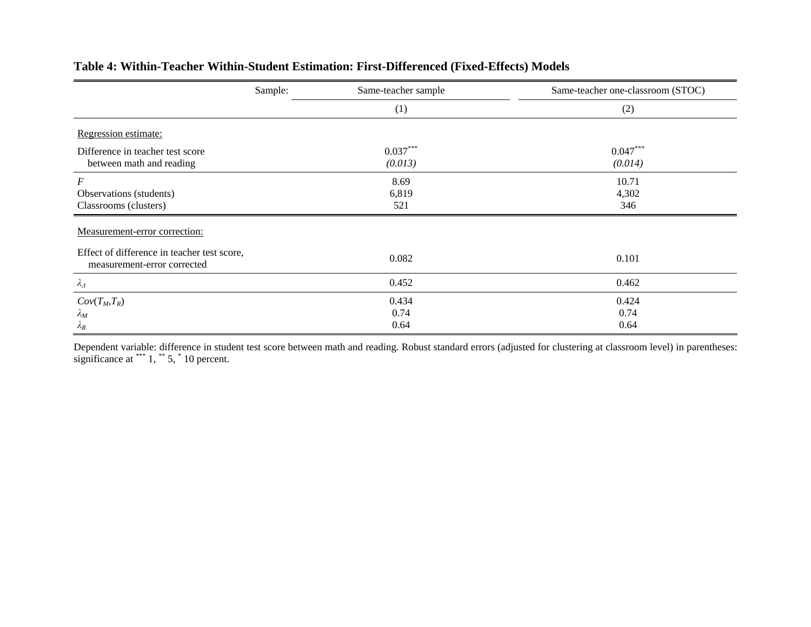|                                                                            | Sample: | Same-teacher sample   | Same-teacher one-classroom (STOC) |
|----------------------------------------------------------------------------|---------|-----------------------|-----------------------------------|
|                                                                            |         | (1)                   | (2)                               |
| Regression estimate:                                                       |         |                       |                                   |
| Difference in teacher test score<br>between math and reading               |         | $0.037***$<br>(0.013) | $0.047***$<br>(0.014)             |
| F<br>Observations (students)<br>Classrooms (clusters)                      |         | 8.69<br>6,819<br>521  | 10.71<br>4,302<br>346             |
| Measurement-error correction:                                              |         |                       |                                   |
| Effect of difference in teacher test score,<br>measurement-error corrected |         | 0.082                 | 0.101                             |
| $\lambda_{\varDelta}$                                                      |         | 0.452                 | 0.462                             |
| $Cov(T_M,T_R)$<br>$\lambda_M$<br>$\lambda_R$                               |         | 0.434<br>0.74<br>0.64 | 0.424<br>0.74<br>0.64             |

## **Table 4: Within-Teacher Within-Student Estimation: First-Differenced (Fixed-Effects) Models**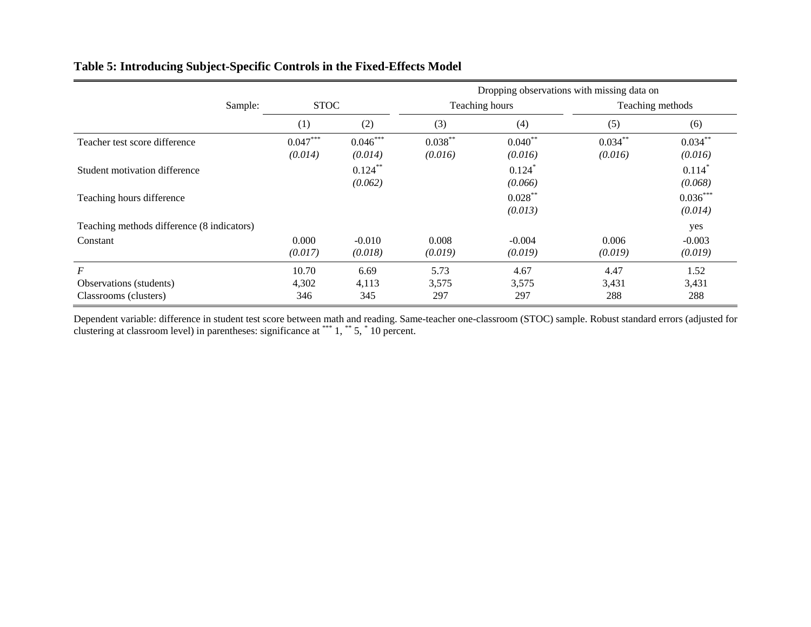|                                            |                       |                       |                       |                       | Dropping observations with missing data on |                                 |
|--------------------------------------------|-----------------------|-----------------------|-----------------------|-----------------------|--------------------------------------------|---------------------------------|
| Sample:                                    | <b>STOC</b>           |                       |                       | Teaching hours        |                                            | Teaching methods                |
|                                            | (1)                   | (2)                   | (3)                   | (4)                   | (5)                                        | (6)                             |
| Teacher test score difference              | $0.047***$<br>(0.014) | $0.046***$<br>(0.014) | $0.038***$<br>(0.016) | $0.040**$<br>(0.016)  | $0.034***$<br>(0.016)                      | $0.034***$<br>(0.016)           |
| Student motivation difference              |                       | $0.124***$<br>(0.062) |                       | 0.124<br>(0.066)      |                                            | $0.114$ <sup>*</sup><br>(0.068) |
| Teaching hours difference                  |                       |                       |                       | $0.028***$<br>(0.013) |                                            | $0.036***$<br>(0.014)           |
| Teaching methods difference (8 indicators) |                       |                       |                       |                       |                                            | yes                             |
| Constant                                   | 0.000<br>(0.017)      | $-0.010$<br>(0.018)   | 0.008<br>(0.019)      | $-0.004$<br>(0.019)   | 0.006<br>(0.019)                           | $-0.003$<br>(0.019)             |
| $\cal F$                                   | 10.70                 | 6.69                  | 5.73                  | 4.67                  | 4.47                                       | 1.52                            |
| Observations (students)                    | 4,302                 | 4,113                 | 3,575                 | 3,575                 | 3,431<br>288                               | 3,431                           |
| Classrooms (clusters)                      | 346                   | 345                   | 297                   | 297                   |                                            | 288                             |

# **Table 5: Introducing Subject-Specific Controls in the Fixed-Effects Model**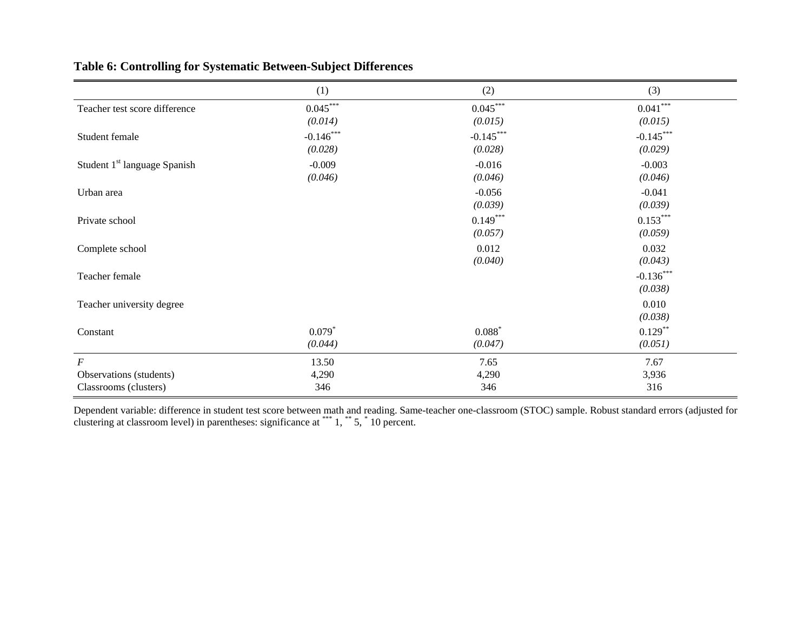|                                                  | (1)                    | (2)                    | (3)                    |
|--------------------------------------------------|------------------------|------------------------|------------------------|
| Teacher test score difference                    | $0.045***$<br>(0.014)  | $0.045***$<br>(0.015)  | $0.041***$<br>(0.015)  |
| Student female                                   | $-0.146***$<br>(0.028) | $-0.145***$<br>(0.028) | $-0.145***$<br>(0.029) |
| Student 1 <sup>st</sup> language Spanish         | $-0.009$<br>(0.046)    | $-0.016$<br>(0.046)    | $-0.003$<br>(0.046)    |
| Urban area                                       |                        | $-0.056$<br>(0.039)    | $-0.041$<br>(0.039)    |
| Private school                                   |                        | $0.149***$<br>(0.057)  | $0.153***$<br>(0.059)  |
| Complete school                                  |                        | 0.012<br>(0.040)       | 0.032<br>(0.043)       |
| Teacher female                                   |                        |                        | $-0.136***$<br>(0.038) |
| Teacher university degree                        |                        |                        | 0.010<br>(0.038)       |
| Constant                                         | $0.079*$<br>(0.044)    | $0.088*$<br>(0.047)    | $0.129***$<br>(0.051)  |
| $\cal F$                                         | 13.50                  | 7.65                   | 7.67                   |
| Observations (students)<br>Classrooms (clusters) | 4,290<br>346           | 4,290<br>346           | 3,936<br>316           |

# **Table 6: Controlling for Systematic Between-Subject Differences**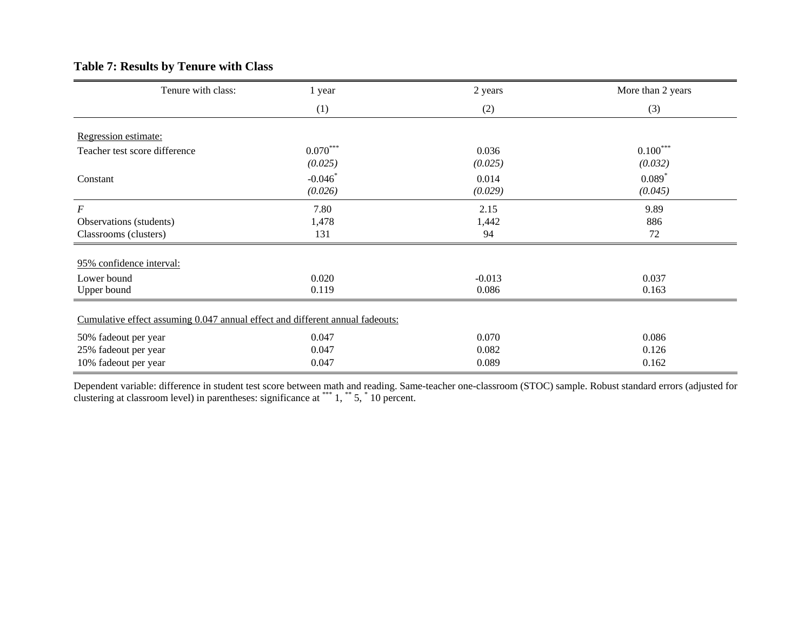# **Table 7: Results by Tenure with Class**

| Tenure with class:                                                            | 1 year                | 2 years          | More than 2 years     |
|-------------------------------------------------------------------------------|-----------------------|------------------|-----------------------|
|                                                                               | (1)                   | (2)              | (3)                   |
| Regression estimate:                                                          |                       |                  |                       |
| Teacher test score difference                                                 | $0.070***$<br>(0.025) | 0.036<br>(0.025) | $0.100***$<br>(0.032) |
| Constant                                                                      | $-0.046*$<br>(0.026)  | 0.014<br>(0.029) | $0.089*$<br>(0.045)   |
| $\cal F$                                                                      | 7.80                  | 2.15             | 9.89                  |
| Observations (students)                                                       | 1,478                 | 1,442            | 886                   |
| Classrooms (clusters)                                                         | 131                   | 94               | 72                    |
| 95% confidence interval:                                                      |                       |                  |                       |
| Lower bound                                                                   | 0.020                 | $-0.013$         | 0.037                 |
| Upper bound                                                                   | 0.119                 | 0.086            | 0.163                 |
| Cumulative effect assuming 0.047 annual effect and different annual fadeouts: |                       |                  |                       |
| 50% fadeout per year                                                          | 0.047                 | 0.070            | 0.086                 |
| 25% fadeout per year                                                          | 0.047                 | 0.082            | 0.126                 |
| 10% fadeout per year                                                          | 0.047                 | 0.089            | 0.162                 |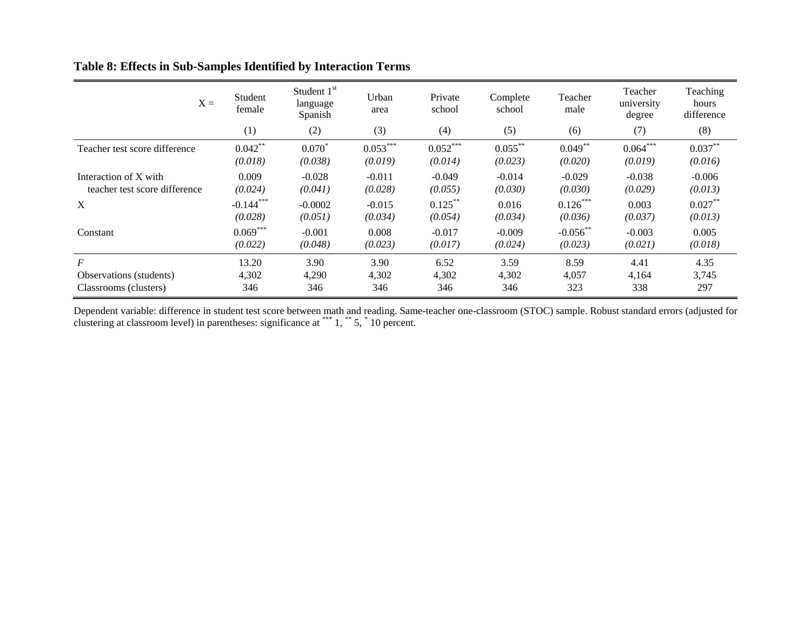|                                                        | $X =$ | Student<br>female      | Student $1st$<br>language<br>Spanish | Urban<br>area         | Private<br>school     | Complete<br>school    | Teacher<br>male        | Teacher<br>university<br>degree | Teaching<br>hours<br>difference |
|--------------------------------------------------------|-------|------------------------|--------------------------------------|-----------------------|-----------------------|-----------------------|------------------------|---------------------------------|---------------------------------|
|                                                        |       | (1)                    | (2)                                  | (3)                   | (4)                   | (5)                   | (6)                    | (7)                             | (8)                             |
| Teacher test score difference                          |       | $0.042***$<br>(0.018)  | $0.070^{*}$<br>(0.038)               | $0.053***$<br>(0.019) | $0.052***$<br>(0.014) | $0.055***$<br>(0.023) | $0.049***$<br>(0.020)  | $0.064***$<br>(0.019)           | $0.037***$<br>(0.016)           |
| Interaction of X with<br>teacher test score difference |       | 0.009<br>(0.024)       | $-0.028$<br>(0.041)                  | $-0.011$<br>(0.028)   | $-0.049$<br>(0.055)   | $-0.014$<br>(0.030)   | $-0.029$<br>(0.030)    | $-0.038$<br>(0.029)             | $-0.006$<br>(0.013)             |
| X                                                      |       | $-0.144***$<br>(0.028) | $-0.0002$<br>(0.051)                 | $-0.015$<br>(0.034)   | $0.125***$<br>(0.054) | 0.016<br>(0.034)      | $0.126***$<br>(0.036)  | 0.003<br>(0.037)                | $0.027***$<br>(0.013)           |
| Constant                                               |       | $0.069***$<br>(0.022)  | $-0.001$<br>(0.048)                  | 0.008<br>(0.023)      | $-0.017$<br>(0.017)   | $-0.009$<br>(0.024)   | $-0.056$ **<br>(0.023) | $-0.003$<br>(0.021)             | 0.005<br>(0.018)                |
| $\boldsymbol{F}$                                       |       | 13.20                  | 3.90                                 | 3.90                  | 6.52                  | 3.59                  | 8.59                   | 4.41                            | 4.35                            |
| Observations (students)<br>Classrooms (clusters)       |       | 4,302<br>346           | 4,290<br>346                         | 4,302<br>346          | 4,302<br>346          | 4,302<br>346          | 4,057<br>323           | 4,164<br>338                    | 3,745<br>297                    |

# **Table 8: Effects in Sub-Samples Identified by Interaction Terms**